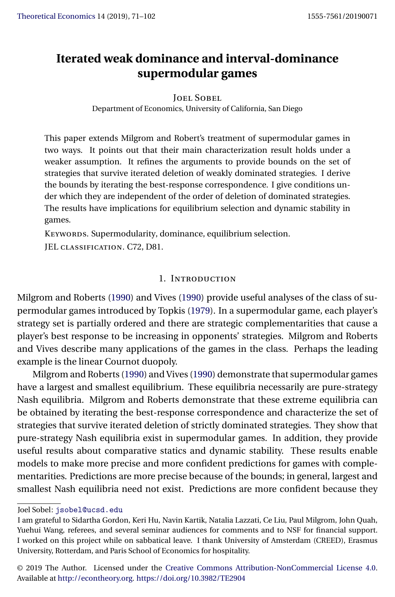# <span id="page-0-0"></span>**Iterated weak dominance and interval-dominance supermodular games**

#### Joel Sobel

Department of Economics, University of California, San Diego

This paper extends Milgrom and Robert's treatment of supermodular games in two ways. It points out that their main characterization result holds under a weaker assumption. It refines the arguments to provide bounds on the set of strategies that survive iterated deletion of weakly dominated strategies. I derive the bounds by iterating the best-response correspondence. I give conditions under which they are independent of the order of deletion of dominated strategies. The results have implications for equilibrium selection and dynamic stability in games.

KEYWORDS. Supermodularity, dominance, equilibrium selection. JEL classification. C72, D81.

#### 1. Introduction

Milgrom and Roberts [\(1990\)](#page-31-0) and Vives [\(1990\)](#page-31-0) provide useful analyses of the class of supermodular games introduced by Topkis [\(1979\)](#page-31-0). In a supermodular game, each player's strategy set is partially ordered and there are strategic complementarities that cause a player's best response to be increasing in opponents' strategies. Milgrom and Roberts and Vives describe many applications of the games in the class. Perhaps the leading example is the linear Cournot duopoly.

Milgrom and Roberts [\(1990\)](#page-31-0) and Vives [\(1990\)](#page-31-0) demonstrate that supermodular games have a largest and smallest equilibrium. These equilibria necessarily are pure-strategy Nash equilibria. Milgrom and Roberts demonstrate that these extreme equilibria can be obtained by iterating the best-response correspondence and characterize the set of strategies that survive iterated deletion of strictly dominated strategies. They show that pure-strategy Nash equilibria exist in supermodular games. In addition, they provide useful results about comparative statics and dynamic stability. These results enable models to make more precise and more confident predictions for games with complementarities. Predictions are more precise because of the bounds; in general, largest and smallest Nash equilibria need not exist. Predictions are more confident because they

Joel Sobel: [jsobel@ucsd.edu](mailto:jsobel@ucsd.edu)

I am grateful to Sidartha Gordon, Keri Hu, Navin Kartik, Natalia Lazzati, Ce Liu, Paul Milgrom, John Quah, Yuehui Wang, referees, and several seminar audiences for comments and to NSF for financial support. I worked on this project while on sabbatical leave. I thank University of Amsterdam (CREED), Erasmus University, Rotterdam, and Paris School of Economics for hospitality.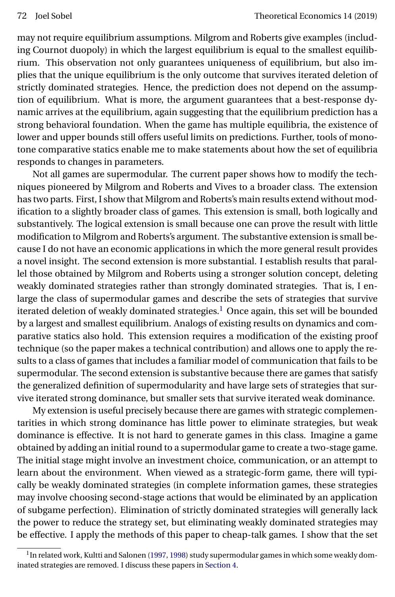<span id="page-1-0"></span>may not require equilibrium assumptions. Milgrom and Roberts give examples (including Cournot duopoly) in which the largest equilibrium is equal to the smallest equilibrium. This observation not only guarantees uniqueness of equilibrium, but also implies that the unique equilibrium is the only outcome that survives iterated deletion of strictly dominated strategies. Hence, the prediction does not depend on the assumption of equilibrium. What is more, the argument guarantees that a best-response dynamic arrives at the equilibrium, again suggesting that the equilibrium prediction has a strong behavioral foundation. When the game has multiple equilibria, the existence of lower and upper bounds still offers useful limits on predictions. Further, tools of monotone comparative statics enable me to make statements about how the set of equilibria responds to changes in parameters.

Not all games are supermodular. The current paper shows how to modify the techniques pioneered by Milgrom and Roberts and Vives to a broader class. The extension has two parts. First, I show that Milgrom and Roberts's main results extend without modification to a slightly broader class of games. This extension is small, both logically and substantively. The logical extension is small because one can prove the result with little modification to Milgrom and Roberts's argument. The substantive extension is small because I do not have an economic applications in which the more general result provides a novel insight. The second extension is more substantial. I establish results that parallel those obtained by Milgrom and Roberts using a stronger solution concept, deleting weakly dominated strategies rather than strongly dominated strategies. That is, I enlarge the class of supermodular games and describe the sets of strategies that survive iterated deletion of weakly dominated strategies.<sup>1</sup> Once again, this set will be bounded by a largest and smallest equilibrium. Analogs of existing results on dynamics and comparative statics also hold. This extension requires a modification of the existing proof technique (so the paper makes a technical contribution) and allows one to apply the results to a class of games that includes a familiar model of communication that fails to be supermodular. The second extension is substantive because there are games that satisfy the generalized definition of supermodularity and have large sets of strategies that survive iterated strong dominance, but smaller sets that survive iterated weak dominance.

My extension is useful precisely because there are games with strategic complementarities in which strong dominance has little power to eliminate strategies, but weak dominance is effective. It is not hard to generate games in this class. Imagine a game obtained by adding an initial round to a supermodular game to create a two-stage game. The initial stage might involve an investment choice, communication, or an attempt to learn about the environment. When viewed as a strategic-form game, there will typically be weakly dominated strategies (in complete information games, these strategies may involve choosing second-stage actions that would be eliminated by an application of subgame perfection). Elimination of strictly dominated strategies will generally lack the power to reduce the strategy set, but eliminating weakly dominated strategies may be effective. I apply the methods of this paper to cheap-talk games. I show that the set

<sup>&</sup>lt;sup>1</sup>In related work, Kultti and Salonen [\(1997,](#page-30-0) [1998\)](#page-30-0) study supermodular games in which some weakly dominated strategies are removed. I discuss these papers in [Section 4.](#page-6-0)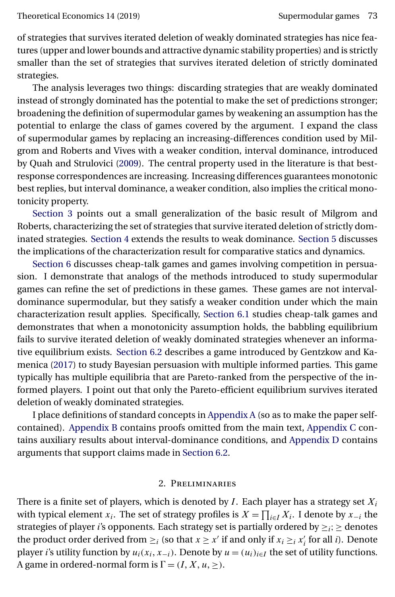<span id="page-2-0"></span>of strategies that survives iterated deletion of weakly dominated strategies has nice features (upper and lower bounds and attractive dynamic stability properties) and is strictly smaller than the set of strategies that survives iterated deletion of strictly dominated strategies.

The analysis leverages two things: discarding strategies that are weakly dominated instead of strongly dominated has the potential to make the set of predictions stronger; broadening the definition of supermodular games by weakening an assumption has the potential to enlarge the class of games covered by the argument. I expand the class of supermodular games by replacing an increasing-differences condition used by Milgrom and Roberts and Vives with a weaker condition, interval dominance, introduced by Quah and Strulovici [\(2009\)](#page-31-0). The central property used in the literature is that bestresponse correspondences are increasing. Increasing differences guarantees monotonic best replies, but interval dominance, a weaker condition, also implies the critical monotonicity property.

[Section 3](#page-5-0) points out a small generalization of the basic result of Milgrom and Roberts, characterizing the set of strategies that survive iterated deletion of strictly dominated strategies. [Section 4](#page-6-0) extends the results to weak dominance. [Section 5](#page-10-0) discusses the implications of the characterization result for comparative statics and dynamics.

[Section 6](#page-14-0) discusses cheap-talk games and games involving competition in persuasion. I demonstrate that analogs of the methods introduced to study supermodular games can refine the set of predictions in these games. These games are not intervaldominance supermodular, but they satisfy a weaker condition under which the main characterization result applies. Specifically, [Section 6.1](#page-14-0) studies cheap-talk games and demonstrates that when a monotonicity assumption holds, the babbling equilibrium fails to survive iterated deletion of weakly dominated strategies whenever an informative equilibrium exists. [Section 6.2](#page-20-0) describes a game introduced by Gentzkow and Kamenica [\(2017\)](#page-30-0) to study Bayesian persuasion with multiple informed parties. This game typically has multiple equilibria that are Pareto-ranked from the perspective of the informed players. I point out that only the Pareto-efficient equilibrium survives iterated deletion of weakly dominated strategies.

I place definitions of standard concepts in [Appendix A](#page-20-0) (so as to make the paper selfcontained). [Appendix B](#page-21-0) contains proofs omitted from the main text, [Appendix C](#page-25-0) contains auxiliary results about interval-dominance conditions, and [Appendix D](#page-27-0) contains arguments that support claims made in [Section 6.2.](#page-20-0)

## 2. Preliminaries

There is a finite set of players, which is denoted by  $I$ . Each player has a strategy set  $X_i$ with typical element  $x_i$ . The set of strategy profiles is  $X = \prod_{i \in I} X_i$ . I denote by  $x_{-i}$  the strategies of player *i*'s opponents. Each strategy set is partially ordered by  $\geq i$ ;  $\geq$  denotes the product order derived from  $\geq_i$  (so that  $x \geq x'$  if and only if  $x_i \geq_i x'_i$  for all *i*). Denote player *i*'s utility function by  $u_i(x_i, x_{-i})$ . Denote by  $u = (u_i)_{i \in I}$  the set of utility functions. A game in ordered-normal form is  $\Gamma = (I, X, u, \geq)$ .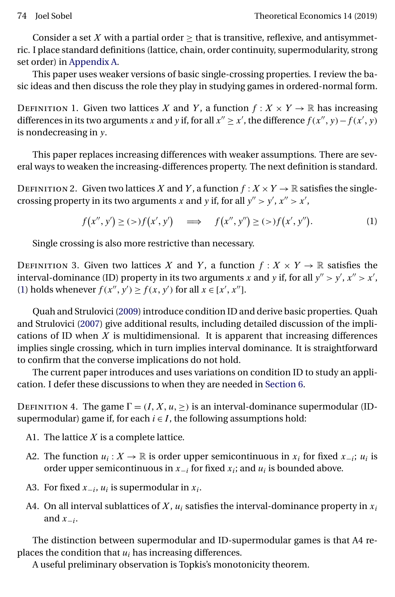<span id="page-3-0"></span>Consider a set X with a partial order  $\geq$  that is transitive, reflexive, and antisymmetric. I place standard definitions (lattice, chain, order continuity, supermodularity, strong set order) in [Appendix A.](#page-20-0)

This paper uses weaker versions of basic single-crossing properties. I review the basic ideas and then discuss the role they play in studying games in ordered-normal form.

DEFINITION 1. Given two lattices X and Y, a function  $f: X \times Y \to \mathbb{R}$  has increasing differences in its two arguments x and y if, for all  $x'' \ge x'$ , the difference  $f(x'', y) - f(x', y)$ is nondecreasing in y.

This paper replaces increasing differences with weaker assumptions. There are several ways to weaken the increasing-differences property. The next definition is standard.

DEFINITION 2. Given two lattices X and Y, a function  $f: X \times Y \to \mathbb{R}$  satisfies the singlecrossing property in its two arguments x and y if, for all  $y'' > y'$ ,  $x'' > x'$ ,

$$
f(x'', y') \ge (>)f(x', y') \quad \Longrightarrow \quad f(x'', y'') \ge (>)f(x', y''). \tag{1}
$$

Single crossing is also more restrictive than necessary.

DEFINITION 3. Given two lattices X and Y, a function  $f: X \times Y \to \mathbb{R}$  satisfies the interval-dominance (ID) property in its two arguments x and y if, for all  $y'' > y'$ ,  $x'' > x'$ , (1) holds whenever  $f(x'', y') \ge f(x, y')$  for all  $x \in [x', x'']$ .

Quah and Strulovici [\(2009\)](#page-31-0) introduce condition ID and derive basic properties. Quah and Strulovici [\(2007\)](#page-31-0) give additional results, including detailed discussion of the implications of ID when  $X$  is multidimensional. It is apparent that increasing differences implies single crossing, which in turn implies interval dominance. It is straightforward to confirm that the converse implications do not hold.

The current paper introduces and uses variations on condition ID to study an application. I defer these discussions to when they are needed in [Section 6.](#page-14-0)

DEFINITION 4. The game  $\Gamma = (I, X, u, \geq)$  is an interval-dominance supermodular (IDsupermodular) game if, for each  $i \in I$ , the following assumptions hold:

- A1. The lattice  $X$  is a complete lattice.
- A2. The function  $u_i: X \to \mathbb{R}$  is order upper semicontinuous in  $x_i$  for fixed  $x_{-i}$ ;  $u_i$  is order upper semicontinuous in  $x_{-i}$  for fixed  $x_i$ ; and  $u_i$  is bounded above.
- A3. For fixed  $x_{-i}$ ,  $u_i$  is supermodular in  $x_i$ .
- A4. On all interval sublattices of X,  $u_i$  satisfies the interval-dominance property in  $x_i$ and  $x_{-i}$ .

The distinction between supermodular and ID-supermodular games is that A4 replaces the condition that  $u_i$  has increasing differences.

A useful preliminary observation is Topkis's monotonicity theorem.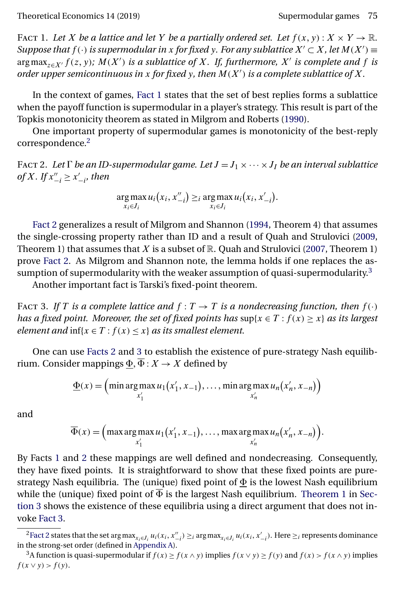<span id="page-4-0"></span>FACT 1. Let X be a lattice and let Y be a partially ordered set. Let  $f(x, y)$ :  $X \times Y \to \mathbb{R}$ . *Suppose that*  $f(\cdot)$  *is supermodular in x for fixed y. For any sublattice*  $X' \subset X$ *, let*  $M(X') \equiv$  $\argmax_{z \in X'} f(z, y)$ ;  $M(X')$  *is a sublattice of* X. If, furthermore, X' *is complete and* f *is order upper semicontinuous in* x *for fixed* y*, then* M(X ) *is a complete sublattice of* X*.*

In the context of games, Fact 1 states that the set of best replies forms a sublattice when the payoff function is supermodular in a player's strategy. This result is part of the Topkis monotonicity theorem as stated in Milgrom and Roberts [\(1990\)](#page-31-0).

One important property of supermodular games is monotonicity of the best-reply correspondence.2

FACT 2. Let  $\Gamma$  be an ID-supermodular game. Let  $J = J_1 \times \cdots \times J_I$  be an interval sublattice *of*  $X$ *.* If  $x''_{-i} \ge x'_{-i}$ *, then* 

$$
\underset{x_i \in J_i}{\arg \max} u_i(x_i, x_{-i}') \geq i \underset{x_i \in J_i}{\arg \max} u_i(x_i, x_{-i}').
$$

Fact 2 generalizes a result of Milgrom and Shannon [\(1994,](#page-31-0) Theorem 4) that assumes the single-crossing property rather than ID and a result of Quah and Strulovici [\(2009,](#page-31-0) Theorem 1) that assumes that  $X$  is a subset of  $\mathbb R$ . Quah and Strulovici [\(2007,](#page-31-0) Theorem 1) prove Fact 2. As Milgrom and Shannon note, the lemma holds if one replaces the assumption of supermodularity with the weaker assumption of quasi-supermodularity.<sup>3</sup>

Another important fact is Tarski's fixed-point theorem.

FACT 3. If T is a complete lattice and  $f: T \to T$  is a nondecreasing function, then  $f(\cdot)$ *has a fixed point. Moreover, the set of fixed points has*  $\sup\{x \in T : f(x) \geq x\}$  *as its largest element and*  $\inf\{x \in T : f(x) \leq x\}$  *as its smallest element.* 

One can use Facts 2 and 3 to establish the existence of pure-strategy Nash equilibrium. Consider mappings  $\underline{\Phi}, \Phi : X \to X$  defined by

$$
\underline{\Phi}(x) = \left(\min \arg \max_{x'_1} u_1(x'_1, x_{-1}), \dots, \min \arg \max_{x'_n} u_n(x'_n, x_{-n})\right)
$$

and

$$
\overline{\Phi}(x) = \Big(\max \arg \max_{x'_1} u_1(x'_1, x_{-1}), \dots, \max \arg \max_{x'_n} u_n(x'_n, x_{-n})\Big).
$$

By Facts 1 and 2 these mappings are well defined and nondecreasing. Consequently, they have fixed points. It is straightforward to show that these fixed points are purestrategy Nash equilibria. The (unique) fixed point of  $\Phi$  is the lowest Nash equilibrium while the (unique) fixed point of  $\overline{\Phi}$  is the largest Nash equilibrium. [Theorem 1](#page-5-0) in [Sec](#page-5-0)[tion 3](#page-5-0) shows the existence of these equilibria using a direct argument that does not invoke Fact 3.

<sup>&</sup>lt;sup>2</sup>Fact 2 states that the set arg max $_{x_i\in J_i}u_i(x_i,x_{-i}'')\geq i$  arg max $_{x_i\in J_i}u_i(x_i,x_{-i}')$ . Here  $\geq i$  represents dominance in the strong-set order (defined in [Appendix A\)](#page-20-0).

<sup>&</sup>lt;sup>3</sup>A function is quasi-supermodular if  $f(x) \ge f(x \wedge y)$  implies  $f(x \vee y) \ge f(y)$  and  $f(x) > f(x \wedge y)$  implies  $f(x \vee y) > f(y).$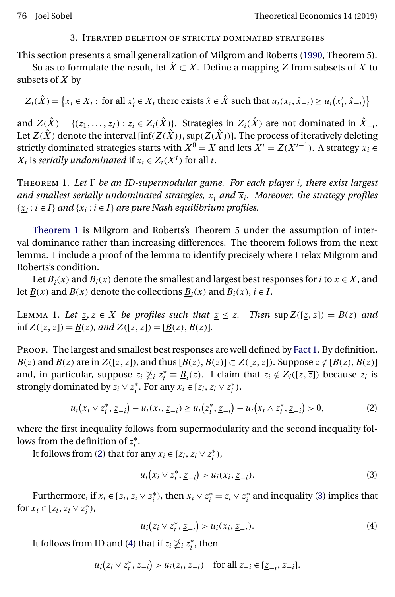#### 3. Iterated deletion of strictly dominated strategies

<span id="page-5-0"></span>This section presents a small generalization of Milgrom and Roberts [\(1990,](#page-31-0) Theorem 5).

So as to formulate the result, let  $\hat{X} \subset X$ . Define a mapping Z from subsets of X to subsets of  $X$  by

 $Z_i(\hat{X}) = \{x_i \in X_i : \text{ for all } x'_i \in X_i \text{ there exists } \hat{x} \in \hat{X} \text{ such that } u_i(x_i, \hat{x}_{-i}) \ge u_i(x'_i, \hat{x}_{-i})\}\$ 

and  $Z(\hat{X}) = \{(z_1, \ldots, z_I) : z_i \in Z_i(\hat{X})\}$ . Strategies in  $Z_i(\hat{X})$  are not dominated in  $\hat{X}_{-i}$ . Let  $\overline{Z}(\hat{X})$  denote the interval [inf( $Z(\hat{X}))$ , sup( $Z(\hat{X}))$ ]. The process of iteratively deleting strictly dominated strategies starts with  $X^0 = X$  and lets  $X^t = Z(X^{t-1})$ . A strategy  $x_i \in$  $X_i$  is *serially undominated* if  $x_i \in Z_i(X^t)$  for all t.

Theorem 1. *Let be an ID-supermodular game. For each player* i*, there exist largest and smallest serially undominated strategies,*  $x_i$  *and*  $\overline{x}_i$ *. Moreover, the strategy profiles*  ${x_i : i \in I}$  *and*  ${\overline{x_i : i \in I}}$  *are pure Nash equilibrium profiles.* 

Theorem 1 is Milgrom and Roberts's Theorem 5 under the assumption of interval dominance rather than increasing differences. The theorem follows from the next lemma. I include a proof of the lemma to identify precisely where I relax Milgrom and Roberts's condition.

Let  $\underline{B}_i(x)$  and  $\overline{B}_i(x)$  denote the smallest and largest best responses for *i* to  $x \in X$ , and let  $\underline{B}(x)$  and  $\overline{B}(x)$  denote the collections  $\underline{B}_i(x)$  and  $\overline{B}_i(x)$ ,  $i \in I$ .

LEMMA 1. Let  $\underline{z}, \overline{z} \in X$  be profiles such that  $\underline{z} \leq \overline{z}$ . Then  $\sup Z([\underline{z}, \overline{z}]) = \overline{B}(\overline{z})$  and inf  $Z([z, \overline{z}]) = \underline{B(z)}$ *, and*  $Z([z, \overline{z}]) = [\underline{B(z)}, B(\overline{z})]$ *.* 

PROOF. The largest and smallest best responses are well defined by [Fact 1.](#page-4-0) By definition,  $\underline{B(z)}$  and  $B(\overline{z})$  are in  $Z([z,\overline{z}])$ , and thus  $[\underline{B(z)},B(\overline{z})]\subset Z([z,\overline{z}])$ . Suppose  $z \notin [\underline{B(z)},B(\overline{z})]$ and, in particular, suppose  $z_i \not\geq i z_i^* \equiv \underline{B}_i(\underline{z})$ . I claim that  $z_i \notin Z_i([\underline{z}, \overline{z}])$  because  $z_i$  is strongly dominated by  $z_i \vee z_i^*$ . For any  $x_i \in [z_i, z_i \vee z_i^*)$ ,

$$
u_i(x_i \vee z_i^*, \underline{z}_{-i}) - u_i(x_i, \underline{z}_{-i}) \ge u_i(z_i^*, \underline{z}_{-i}) - u_i(x_i \wedge z_i^*, \underline{z}_{-i}) > 0,
$$
 (2)

where the first inequality follows from supermodularity and the second inequality follows from the definition of  $z_i^*$ .

It follows from (2) that for any  $x_i \in [z_i, z_i \vee z_i^*)$ ,

$$
u_i(x_i \vee z_i^*, \underline{z}_{-i}) > u_i(x_i, \underline{z}_{-i}).
$$
\n(3)

Furthermore, if  $x_i \in [z_i, z_i \vee z_i^*)$ , then  $x_i \vee z_i^* = z_i \vee z_i^*$  and inequality (3) implies that for  $x_i \in [z_i, z_i \vee z_i^*)$ ,

$$
u_i(z_i \vee z_i^*, \underline{z}_{-i}) > u_i(x_i, \underline{z}_{-i}). \tag{4}
$$

It follows from ID and (4) that if  $z_i \not\geq_i z_i^*$ , then

$$
u_i(z_i \vee z_i^*, z_{-i}) > u_i(z_i, z_{-i}) \quad \text{for all } z_{-i} \in [\underline{z}_{-i}, \overline{z}_{-i}].
$$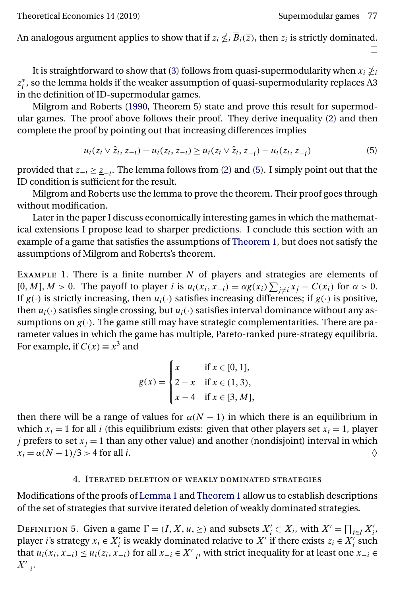<span id="page-6-0"></span>An analogous argument applies to show that if  $z_i \nleq i \overline{B}_i(\overline{z})$ , then  $z_i$  is strictly dominated.  $\Box$ 

It is straightforward to show that [\(3\)](#page-5-0) follows from quasi-supermodularity when  $x_i\ngeq_i$  $z_i^*$ , so the lemma holds if the weaker assumption of quasi-supermodularity replaces A3 in the definition of ID-supermodular games.

Milgrom and Roberts [\(1990,](#page-31-0) Theorem 5) state and prove this result for supermodular games. The proof above follows their proof. They derive inequality [\(2\)](#page-5-0) and then complete the proof by pointing out that increasing differences implies

$$
u_i(z_i \vee \hat{z}_i, z_{-i}) - u_i(z_i, z_{-i}) \ge u_i(z_i \vee \hat{z}_i, \underline{z}_{-i}) - u_i(z_i, \underline{z}_{-i}) \tag{5}
$$

provided that  $z_{-i} \geq \underline{z}_{-i}$ . The lemma follows from [\(2\)](#page-5-0) and (5). I simply point out that the ID condition is sufficient for the result.

Milgrom and Roberts use the lemma to prove the theorem. Their proof goes through without modification.

Later in the paper I discuss economically interesting games in which the mathematical extensions I propose lead to sharper predictions. I conclude this section with an example of a game that satisfies the assumptions of [Theorem 1,](#page-5-0) but does not satisfy the assumptions of Milgrom and Roberts's theorem.

EXAMPLE 1. There is a finite number  $N$  of players and strategies are elements of [0, M],  $M > 0$ . The payoff to player *i* is  $u_i(x_i, x_{-i}) = \alpha g(x_i) \sum_{j \neq i} x_j - C(x_i)$  for  $\alpha > 0$ . If  $g(\cdot)$  is strictly increasing, then  $u_i(\cdot)$  satisfies increasing differences; if  $g(\cdot)$  is positive, then  $u_i(\cdot)$  satisfies single crossing, but  $u_i(\cdot)$  satisfies interval dominance without any assumptions on  $g(.)$ . The game still may have strategic complementarities. There are parameter values in which the game has multiple, Pareto-ranked pure-strategy equilibria. For example, if  $C(x) \equiv x^3$  and

$$
g(x) = \begin{cases} x & \text{if } x \in [0, 1], \\ 2 - x & \text{if } x \in (1, 3), \\ x - 4 & \text{if } x \in [3, M], \end{cases}
$$

then there will be a range of values for  $\alpha(N - 1)$  in which there is an equilibrium in which  $x_i = 1$  for all *i* (this equilibrium exists: given that other players set  $x_i = 1$ , player *j* prefers to set  $x_j = 1$  than any other value) and another (nondisjoint) interval in which  $x_i = \alpha (N-1)/3 > 4$  for all i.

#### 4. Iterated deletion of weakly dominated strategies

Modifications of the proofs of [Lemma 1](#page-5-0) and [Theorem 1](#page-5-0) allow us to establish descriptions of the set of strategies that survive iterated deletion of weakly dominated strategies.

DEFINITION 5. Given a game  $\Gamma = (I, X, u, \geq)$  and subsets  $X'_i \subset X_i$ , with  $X' = \prod_{i \in I} X'_i$ , player *i*'s strategy  $x_i \in X'_i$  is weakly dominated relative to  $X'$  if there exists  $z_i \in X'_i$  such that  $u_i(x_i, x_{-i}) \le u_i(z_i, x_{-i})$  for all  $x_{-i} \in X'_{-i}$ , with strict inequality for at least one  $x_{-i} \in$  $X'_{-i}$ .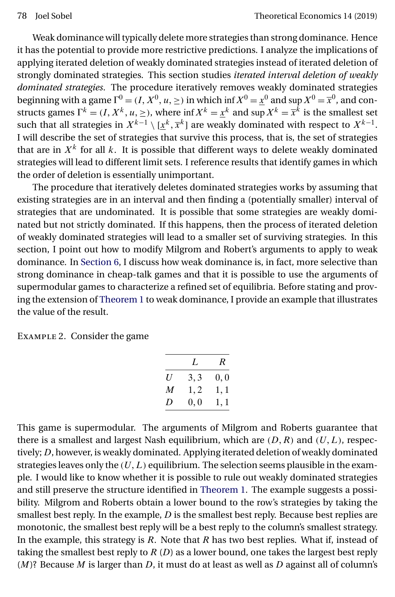<span id="page-7-0"></span>Weak dominance will typically delete more strategies than strong dominance. Hence it has the potential to provide more restrictive predictions. I analyze the implications of applying iterated deletion of weakly dominated strategies instead of iterated deletion of strongly dominated strategies. This section studies *iterated interval deletion of weakly dominated strategies*. The procedure iteratively removes weakly dominated strategies beginning with a game  $\Gamma^0 = (I, X^0, u, \geq)$  in which inf  $X^0 = \underline{x}^0$  and  $\sup X^0 = \overline{x}^0$ , and constructs games  $\Gamma^k = (I, X^k, u, \geq)$ , where inf  $X^k = \underline{x}^k$  and sup  $X^k = \overline{x}^k$  is the smallest set such that all strategies in  $X^{k-1}\setminus[\underline{x}^k,\overline{x}^k]$  are weakly dominated with respect to  $X^{k-1}.$ I will describe the set of strategies that survive this process, that is, the set of strategies that are in  $X^k$  for all k. It is possible that different ways to delete weakly dominated strategies will lead to different limit sets. I reference results that identify games in which the order of deletion is essentially unimportant.

The procedure that iteratively deletes dominated strategies works by assuming that existing strategies are in an interval and then finding a (potentially smaller) interval of strategies that are undominated. It is possible that some strategies are weakly dominated but not strictly dominated. If this happens, then the process of iterated deletion of weakly dominated strategies will lead to a smaller set of surviving strategies. In this section, I point out how to modify Milgrom and Robert's arguments to apply to weak dominance. In [Section 6,](#page-14-0) I discuss how weak dominance is, in fact, more selective than strong dominance in cheap-talk games and that it is possible to use the arguments of supermodular games to characterize a refined set of equilibria. Before stating and proving the extension of [Theorem 1](#page-5-0) to weak dominance, I provide an example that illustrates the value of the result.

Example 2. Consider the game

|   | L    | $\boldsymbol{R}$ |
|---|------|------------------|
| U | 3.3  | $0.0\,$          |
| M | 1, 2 | 1, 1             |
| D | 0,0  | 1, 1             |

This game is supermodular. The arguments of Milgrom and Roberts guarantee that there is a smallest and largest Nash equilibrium, which are  $(D, R)$  and  $(U, L)$ , respectively; D, however, is weakly dominated. Applying iterated deletion of weakly dominated strategies leaves only the  $(U,L)$  equilibrium. The selection seems plausible in the example. I would like to know whether it is possible to rule out weakly dominated strategies and still preserve the structure identified in [Theorem 1.](#page-5-0) The example suggests a possibility. Milgrom and Roberts obtain a lower bound to the row's strategies by taking the smallest best reply. In the example,  $D$  is the smallest best reply. Because best replies are monotonic, the smallest best reply will be a best reply to the column's smallest strategy. In the example, this strategy is  $R$ . Note that  $R$  has two best replies. What if, instead of taking the smallest best reply to  $R(D)$  as a lower bound, one takes the largest best reply  $(M)$ ? Because M is larger than D, it must do at least as well as D against all of column's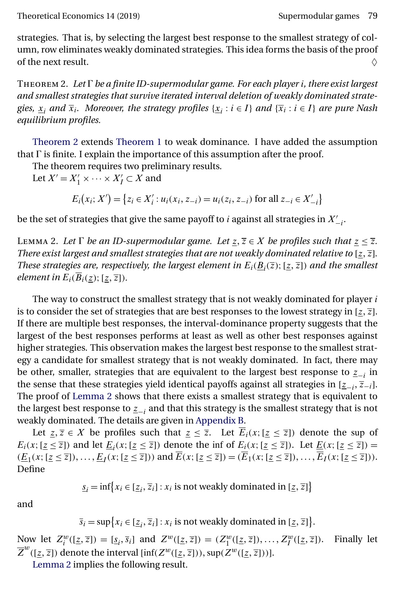<span id="page-8-0"></span>strategies. That is, by selecting the largest best response to the smallest strategy of column, row eliminates weakly dominated strategies. This idea forms the basis of the proof of the next result.  $\Diamond$ 

Theorem 2. *Let be a finite ID-supermodular game. For each player* i*, there exist largest and smallest strategies that survive iterated interval deletion of weakly dominated strategies,*  $x_i$  *and*  $\overline{x}_i$ *. Moreover, the strategy profiles* { $x_i : i \in I$ } *and* { $\overline{x}_i : i \in I$ } *are pure Nash equilibrium profiles.*

Theorem 2 extends [Theorem 1](#page-5-0) to weak dominance. I have added the assumption that  $\Gamma$  is finite. I explain the importance of this assumption after the proof.

The theorem requires two preliminary results.

Let  $X' = X'_1 \times \cdots \times X'_I \subset X$  and

 $E_i(x_i; X') = \{z_i \in X'_i : u_i(x_i, z_{-i}) = u_i(z_i, z_{-i}) \text{ for all } z_{-i} \in X'_{-i}\}\$ 

be the set of strategies that give the same payoff to  $i$  against all strategies in  $X'_{-i}$ .

LEMMA 2. Let  $\Gamma$  be an ID-supermodular game. Let  $\underline{z}, \overline{z} \in X$  be profiles such that  $\underline{z} \leq \overline{z}$ . *There exist largest and smallest strategies that are not weakly dominated relative to* [ $z$ ,  $\overline{z}$ ]. *These strategies are, respectively, the largest element in*  $E_i(\underline{B}_i(\overline{z});[\underline{z},\overline{z}])$  *and the smallest element in*  $E_i(B_i(\underline{z}); [\underline{z}, \overline{z}]).$ 

The way to construct the smallest strategy that is not weakly dominated for player  $i$ is to consider the set of strategies that are best responses to the lowest strategy in [ $z$ ,  $\overline{z}$ ]. If there are multiple best responses, the interval-dominance property suggests that the largest of the best responses performs at least as well as other best responses against higher strategies. This observation makes the largest best response to the smallest strategy a candidate for smallest strategy that is not weakly dominated. In fact, there may be other, smaller, strategies that are equivalent to the largest best response to  $\mathbf{z}_{-i}$  in the sense that these strategies yield identical payoffs against all strategies in  $[\underline{z}_{-i}, \overline{z}_{-i}]$ . The proof of Lemma 2 shows that there exists a smallest strategy that is equivalent to the largest best response to  $\mathbf{z}_{-i}$  and that this strategy is the smallest strategy that is not weakly dominated. The details are given in [Appendix B.](#page-21-0)

Let  $\underline{z}, \overline{z} \in X$  be profiles such that  $\underline{z} \leq \overline{z}$ . Let  $E_i(x; [\underline{z} \leq \overline{z}])$  denote the sup of  $E_i(x;[\underline{z} \leq \overline{z}])$  and let  $\underline{E}_i(x;[\underline{z} \leq \overline{z}])$  denote the inf of  $E_i(x;[\underline{z} \leq \overline{z}])$ . Let  $\underline{E}(x;[\underline{z} \leq \overline{z}])$  $(\underline{E}_1(x; [\underline{z} \le \overline{z}]), \dots, \underline{E}_I(x; [\underline{z} \le \overline{z}]))$  and  $\overline{E}(x; [\underline{z} \le \overline{z}]) = (\overline{E}_1(x; [\underline{z} \le \overline{z}]), \dots, \overline{E}_I(x; [\underline{z} \le \overline{z}])).$ Define

$$
\underline{s}_i = \inf \{ x_i \in [\underline{z}_i, \overline{z}_i] : x_i \text{ is not weakly dominated in } [\underline{z}, \overline{z}] \}
$$

and

 $\overline{s}_i = \sup\bigl\{x_i \in [\underline{z}_i, \overline{z}_i] : x_i \text{ is not weakly dominated in } [\underline{z}, \overline{z}]\bigr\}.$ 

Now let  $Z_i^w([z,\overline{z}]) = [\underline{s}_i, \overline{s}_i]$  and  $Z^w([\underline{z},\overline{z}]) = (Z_1^w([\underline{z},\overline{z}]), \ldots, Z_I^w([\underline{z},$ Finally let  $\overline{Z}^w([\underline{z}, \overline{z}])$  denote the interval [inf( $Z^w([\underline{z}, \overline{z}]))$ , sup( $Z^w([\underline{z}, \overline{z}]))$ ].

Lemma 2 implies the following result.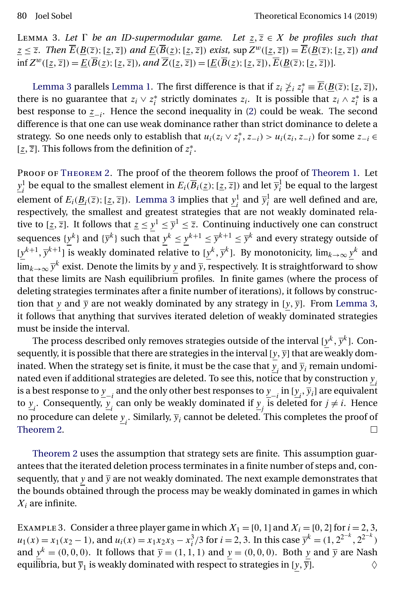<span id="page-9-0"></span>LEMMA 3. Let  $\Gamma$  be an ID-supermodular game. Let  $\underline{z}, \overline{z} \in X$  be profiles such that  $\underline{z} \leq \overline{z}$ . Then  $\overline{E}(\underline{B}(\overline{z});[\underline{z},\overline{z}])$  and  $\underline{E}(\overline{B}(\underline{z});[\underline{z},\overline{z}])$  exist, sup  $Z^w([\underline{z},\overline{z}]) = \overline{E}(\underline{B}(\overline{z});[\underline{z},\overline{z}])$  and  $\inf Z^w([\underline{z}, \overline{z}]) = \underline{E}(\overline{B}(\underline{z}); [\underline{z}, \overline{z}])$ , and  $\overline{Z}([\underline{z}, \overline{z}]) = [\underline{E}(\overline{B}(\underline{z}); [\underline{z}, \overline{z}])$ ,  $\overline{E}(\underline{B}(\overline{z}); [\underline{z}, \overline{z}])$ .

Lemma 3 parallels [Lemma 1.](#page-5-0) The first difference is that if  $z_i \ngeq i z_i^* \equiv \overline{E}(\underline{B}(\overline{z});[\underline{z},\overline{z}]),$ there is no guarantee that  $z_i \vee z_i^*$  strictly dominates  $z_i$ . It is possible that  $z_i \wedge z_i^*$  is a best response to  $z_{-i}$ . Hence the second inequality in [\(2\)](#page-5-0) could be weak. The second difference is that one can use weak dominance rather than strict dominance to delete a strategy. So one needs only to establish that  $u_i(z_i \vee z_i^*, z_{-i}) > u_i(z_i, z_{-i})$  for some  $z_{-i} \in$ [ $\underline{z}, \overline{z}$ ]. This follows from the definition of  $z_i^*$ .

PROOF OF THEOREM 2. The proof of the t[heorem](#page-8-0) follows the proof of [Theorem 1.](#page-5-0) Let  $\underline{y}_i^1$  be equal to the smallest element in  $E_i(\overline{B}_i(\underline{z});[\underline{z},\overline{z}])$  and let  $\overline{y}_i^1$  be equal to the largest element of  $E_i(\underline{B}_i(\overline{z});[\overline{z},\overline{z}])$ . Lemma 3 implies that  $\underline{y}_i^1$  and  $\overline{y}_i^1$  are well defined and are, respectively, the smallest and greatest strategies that are not weakly dominated relative to  $[\underline{z}, \overline{z}]$ . It follows that  $\underline{z} \le y^1 \le \overline{y}^1 \le \overline{z}$ . Continuing inductively one can construct sequences  $\{y^k\}$  and  $\{\overline{y}^k\}$  such that  $y^k \le y^{k+1} \le \overline{y}^{k+1} \le \overline{y}^k$  and every strategy outside of  $[y^{k+1}, \overline{y}^{k+1}]$  is weakly dominated relative to  $[y^k, \overline{y}^k]$ . By monotonicity,  $\lim_{k\to\infty} \underline{y}^k$  and lim $_{k\to\infty}$   $\overline{y}^k$  exist. Denote the limits by  $\underline{y}$  and  $\overline{y}$ , respectively. It is straightforward to show that these limits are Nash equilibrium profiles. In finite games (where the process of deleting strategies terminates after a finite number of iterations), it follows by construction that y and  $\bar{y}$  are not weakly dominated by any strategy in [y,  $\bar{y}$ ]. From Lemma 3, it follows that anything that survives iterated deletion of weakly dominated strategies must be inside the interval.

The process described only removes strategies outside of the interval [ $y^k,\overline{y}^k$ ]. Consequently, it is possible that there are strategies in the interval [y,  $\overline{y}$ ] that are weakly dominated. When the strategy set is finite, it must be the case that  $\overline{y}_i$  and  $\overline{y}_i$  remain undominated even if additional strategies are deleted. To see this, notice that by construction  $y_i$ is a best response to  $\underline{y}_{-i}$  and the only other best responses to  $\underline{y}_{-i}$  in  $[\underline{y}_i, \overline{y}_i]$  are equivalent to  $\underline{y}_i$ . Consequently,  $\underline{y}_i$  can only be weakly dominated if  $\underline{y}_j$  is deleted for  $j \neq i$ . Hence no procedure can delete  $\underline{y}_i$ . Similarly,  $\overline{y}_i$  cannot be deleted. This completes the proof of [Theorem 2.](#page-8-0) □

[Theorem 2](#page-8-0) uses the assumption that strategy sets are finite. This assumption guarantees that the iterated deletion process terminates in a finite number of steps and, consequently, that y and  $\overline{y}$  are not weakly dominated. The next example demonstrates that the bounds obtained through the process may be weakly dominated in games in which  $X_i$  are infinite.

EXAMPLE 3. Consider a three player game in which  $X_1 = [0, 1]$  and  $X_i = [0, 2]$  for  $i = 2, 3$ ,  $u_1(x) = x_1(x_2 - 1)$ , and  $u_i(x) = x_1x_2x_3 - x_i^3/3$  for  $i = 2, 3$ . In this case  $\overline{y}^k = (1, 2^{2^{-k}}, 2^{2^{-k}})$ and  $y^k = (0, 0, 0)$ . It follows that  $\overline{y} = (1, 1, 1)$  and  $y = (0, 0, 0)$ . Both y and  $\overline{y}$  are Nash equilibria, but  $\overline{y}_1$  is weakly dominated with respect to strategies in [ $\underline{y}, \overline{y}$ ].  $\diamondsuit$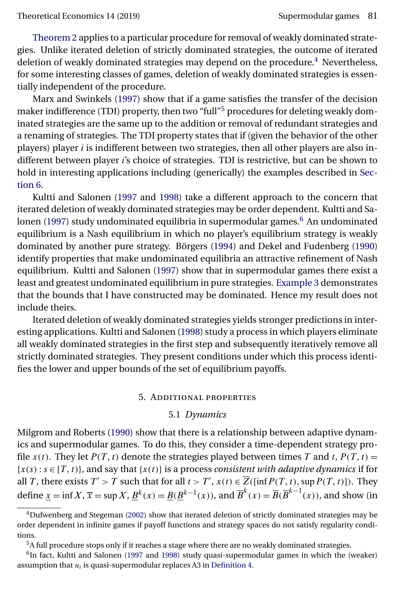<span id="page-10-0"></span>[Theorem 2](#page-8-0) applies to a particular procedure for removal of weakly dominated strategies. Unlike iterated deletion of strictly dominated strategies, the outcome of iterated deletion of weakly dominated strategies may depend on the procedure.<sup>4</sup> Nevertheless, for some interesting classes of games, deletion of weakly dominated strategies is essentially independent of the procedure.

Marx and Swinkels [\(1997\)](#page-31-0) show that if a game satisfies the transfer of the decision maker indifference (TDI) property, then two "full"<sup>5</sup> procedures for deleting weakly dominated strategies are the same up to the addition or removal of redundant strategies and a renaming of strategies. The TDI property states that if (given the behavior of the other players) player  $i$  is indifferent between two strategies, then all other players are also indifferent between player i's choice of strategies. TDI is restrictive, but can be shown to hold in interesting applications including (generically) the examples described in [Sec](#page-14-0)[tion 6.](#page-14-0)

Kultti and Salonen [\(1997](#page-30-0) and [1998\)](#page-30-0) take a different approach to the concern that iterated deletion of weakly dominated strategies may be order dependent. Kultti and Sa-lonen [\(1997\)](#page-30-0) study undominated equilibria in supermodular games. $6$  An undominated equilibrium is a Nash equilibrium in which no player's equilibrium strategy is weakly dominated by another pure strategy. Börgers [\(1994\)](#page-30-0) and Dekel and Fudenberg [\(1990\)](#page-30-0) identify properties that make undominated equilibria an attractive refinement of Nash equilibrium. Kultti and Salonen [\(1997\)](#page-30-0) show that in supermodular games there exist a least and greatest undominated equilibrium in pure strategies. [Example 3](#page-9-0) demonstrates that the bounds that I have constructed may be dominated. Hence my result does not include theirs.

Iterated deletion of weakly dominated strategies yields stronger predictions in interesting applications. Kultti and Salonen [\(1998\)](#page-30-0) study a process in which players eliminate all weakly dominated strategies in the first step and subsequently iteratively remove all strictly dominated strategies. They present conditions under which this process identifies the lower and upper bounds of the set of equilibrium payoffs.

## 5. Additional properties

## 5.1 *Dynamics*

Milgrom and Roberts [\(1990\)](#page-31-0) show that there is a relationship between adaptive dynamics and supermodular games. To do this, they consider a time-dependent strategy profile  $x(t)$ . They let  $P(T, t)$  denote the strategies played between times T and t,  $P(T, t) =$  ${x(s) : s \in [T, t]}$ , and say that  ${x(t)}$  is a process *consistent with adaptive dynamics* if for all *T*, there exists  $T' > T$  such that for all  $t > T'$ ,  $x(t) \in \overline{Z}$  ([inf $P(T, t)$ , sup  $P(T, t)$ ]). They define  $\underline{x} = \inf X$ ,  $\overline{x} = \sup X$ ,  $\underline{B}^k(x) = \underline{B}(\underline{B}^{k-1}(x))$ , and  $\overline{B}^k(x) = \overline{B}(\overline{B}^{k-1}(x))$ , and show (in

 $4$ Dufwenberg and Stegeman [\(2002\)](#page-30-0) show that iterated deletion of strictly dominated strategies may be order dependent in infinite games if payoff functions and strategy spaces do not satisfy regularity conditions.

<sup>5</sup>A full procedure stops only if it reaches a stage where there are no weakly dominated strategies.

<sup>&</sup>lt;sup>6</sup>In fact, Kultti and Salonen [\(1997](#page-30-0) and [1998\)](#page-30-0) study quasi-supermodular games in which the (weaker) assumption that  $u_i$  is quasi-supermodular replaces A3 in [Definition 4.](#page-3-0)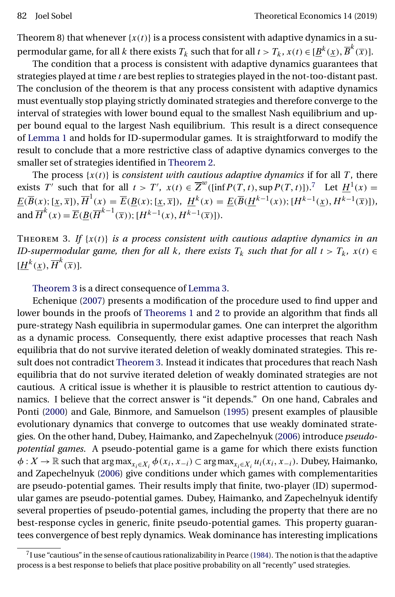<span id="page-11-0"></span>Theorem 8) that whenever  $\{x(t)\}\$ is a process consistent with adaptive dynamics in a supermodular game, for all  $k$  there exists  $T_k$  such that for all  $t>T_k$ ,  $x(t) \in [\underline{B}^k(\underline{x}), \overline{B}^k(\overline{x})].$ 

The condition that a process is consistent with adaptive dynamics guarantees that strategies played at time  $t$  are best replies to strategies played in the not-too-distant past. The conclusion of the theorem is that any process consistent with adaptive dynamics must eventually stop playing strictly dominated strategies and therefore converge to the interval of strategies with lower bound equal to the smallest Nash equilibrium and upper bound equal to the largest Nash equilibrium. This result is a direct consequence of [Lemma 1](#page-5-0) and holds for ID-supermodular games. It is straightforward to modify the result to conclude that a more restrictive class of adaptive dynamics converges to the smaller set of strategies identified in [Theorem 2.](#page-8-0)

The process  $\{x(t)\}$  is *consistent with cautious adaptive dynamics* if for all T, there exists T' such that for all  $t > T'$ ,  $x(t) \in \overline{Z}^w([inf P(T, t), supp T(T, t)])$ .<sup>7</sup> Let  $\underline{H}^1(x) =$  $\underline{E}(\overline{B}(x); [\underline{x}, \overline{x}]), \overline{H}^1(x) = \overline{E}(\underline{B}(x); [\underline{x}, \overline{x}]), \ \underline{H}^k(x) = \underline{E}(\overline{B}(\underline{H}^{k-1}(x)); [H^{k-1}(\underline{x}), H^{k-1}(\overline{x})]),$ and  $\overline{H}^k(x) = \overline{E}(\underline{B}(\overline{H}^{k-1}(\overline{x}));[H^{k-1}(x),H^{k-1}(\overline{x})]).$ 

THEOREM 3. If  $\{x(t)\}\$ is a process consistent with cautious adaptive dynamics in an *ID-supermodular game, then for all k, there exists*  $T_k$  *such that for all*  $t > T_k$ ,  $x(t) \in$  $[\underline{H}^k(\underline{x}), \overline{H}^k(\overline{x})].$ 

Theorem 3 is a direct consequence of [Lemma 3.](#page-9-0)

Echenique [\(2007\)](#page-30-0) presents a modification of the procedure used to find upper and lower bounds in the proofs of [Theorems 1](#page-5-0) and [2](#page-8-0) to provide an algorithm that finds all pure-strategy Nash equilibria in supermodular games. One can interpret the algorithm as a dynamic process. Consequently, there exist adaptive processes that reach Nash equilibria that do not survive iterated deletion of weakly dominated strategies. This result does not contradict Theorem 3. Instead it indicates that procedures that reach Nash equilibria that do not survive iterated deletion of weakly dominated strategies are not cautious. A critical issue is whether it is plausible to restrict attention to cautious dynamics. I believe that the correct answer is "it depends." On one hand, Cabrales and Ponti [\(2000\)](#page-30-0) and Gale, Binmore, and Samuelson [\(1995\)](#page-30-0) present examples of plausible evolutionary dynamics that converge to outcomes that use weakly dominated strategies. On the other hand, Dubey, Haimanko, and Zapechelnyuk [\(2006\)](#page-30-0) introduce *pseudopotential games*. A pseudo-potential game is a game for which there exists function  $\phi: X \to \mathbb{R}$  such that  $\argmax_{x_i \in X_i} \phi(x_i, x_{-i}) \subset \argmax_{x_i \in X_i} u_i(x_i, x_{-i})$ . Dubey, Haimanko, and Zapechelnyuk [\(2006\)](#page-30-0) give conditions under which games with complementarities are pseudo-potential games. Their results imply that finite, two-player (ID) supermodular games are pseudo-potential games. Dubey, Haimanko, and Zapechelnyuk identify several properties of pseudo-potential games, including the property that there are no best-response cycles in generic, finite pseudo-potential games. This property guarantees convergence of best reply dynamics. Weak dominance has interesting implications

 $7$ I use "cautious" in the sense of cautious rationalizability in Pearce [\(1984\)](#page-31-0). The notion is that the adaptive process is a best response to beliefs that place positive probability on all "recently" used strategies.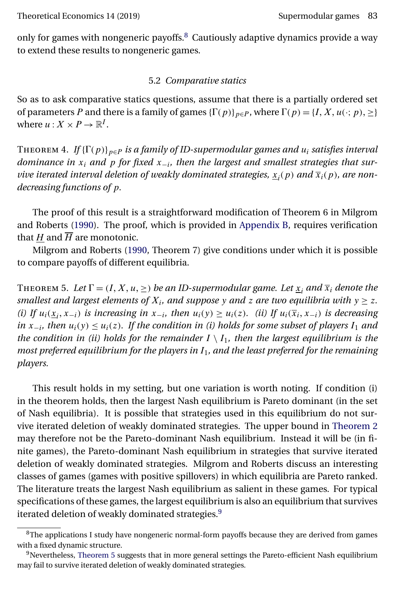<span id="page-12-0"></span>only for games with nongeneric payoffs. $8$  Cautiously adaptive dynamics provide a way to extend these results to nongeneric games.

## 5.2 *Comparative statics*

So as to ask comparative statics questions, assume that there is a partially ordered set of parameters P and there is a family of games  $\{\Gamma(p)\}_{p\in P}$ , where  $\Gamma(p) = \{I, X, u(\cdot; p), \geq\}$ where  $u: X \times P \to \mathbb{R}^I$ .

THEOREM 4. *If* { $\Gamma(p)$ }<sub>p∈P</sub> *is a family of ID-supermodular games and*  $u_i$  *satisfies interval dominance in*  $x_i$  *and*  $p$  *for fixed*  $x_{-i}$ *, then the largest and smallest strategies that survive iterated interval deletion of weakly dominated strategies,*  $x_i(p)$  *and*  $\overline{x}_i(p)$ *, are nondecreasing functions of* p*.*

The proof of this result is a straightforward modification of Theorem 6 in Milgrom and Roberts [\(1990\)](#page-31-0). The proof, which is provided in [Appendix B,](#page-21-0) requires verification that H and  $\overline{H}$  are monotonic.

Milgrom and Roberts [\(1990,](#page-31-0) Theorem 7) give conditions under which it is possible to compare payoffs of different equilibria.

THEOREM 5. Let  $\Gamma = (I, X, u, \geq)$  be an ID-supermodular game. Let  $\underline{x}_i$  and  $\overline{x}_i$  denote the *smallest and largest elements of*  $X_i$ *, and suppose* y *and* z *are two equilibria with*  $y \ge z$ *. (i)* If  $u_i(\underline{x}_i, x_{-i})$  *is increasing in*  $x_{-i}$ *, then*  $u_i(y) \ge u_i(z)$ *. (ii)* If  $u_i(\overline{x}_i, x_{-i})$  *is decreasing in*  $x_{-i}$ *, then*  $u_i(y) ≤ u_i(z)$ *. If the condition in (i) holds for some subset of players*  $I_1$  *and the condition in (ii) holds for the remainder*  $I \setminus I_1$ *, then the largest equilibrium is the most preferred equilibrium for the players in*  $I_1$ *, and the least preferred for the remaining players.*

This result holds in my setting, but one variation is worth noting. If condition (i) in the theorem holds, then the largest Nash equilibrium is Pareto dominant (in the set of Nash equilibria). It is possible that strategies used in this equilibrium do not survive iterated deletion of weakly dominated strategies. The upper bound in [Theorem 2](#page-8-0) may therefore not be the Pareto-dominant Nash equilibrium. Instead it will be (in finite games), the Pareto-dominant Nash equilibrium in strategies that survive iterated deletion of weakly dominated strategies. Milgrom and Roberts discuss an interesting classes of games (games with positive spillovers) in which equilibria are Pareto ranked. The literature treats the largest Nash equilibrium as salient in these games. For typical specifications of these games, the largest equilibrium is also an equilibrium that survives iterated deletion of weakly dominated strategies.<sup>9</sup>

<sup>&</sup>lt;sup>8</sup>The applications I study have nongeneric normal-form payoffs because they are derived from games with a fixed dynamic structure.

<sup>&</sup>lt;sup>9</sup>Nevertheless, Theorem 5 suggests that in more general settings the Pareto-efficient Nash equilibrium may fail to survive iterated deletion of weakly dominated strategies.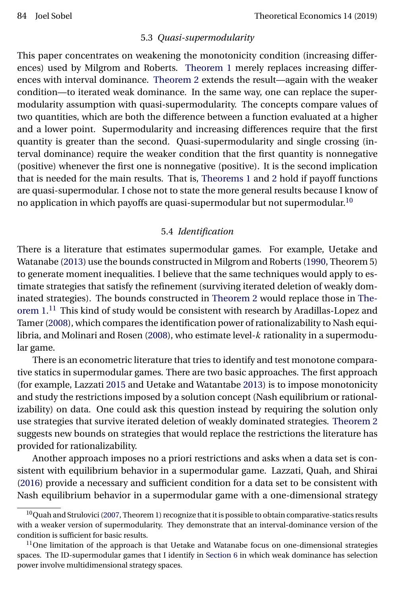#### 5.3 *Quasi-supermodularity*

<span id="page-13-0"></span>This paper concentrates on weakening the monotonicity condition (increasing differences) used by Milgrom and Roberts. [Theorem 1](#page-5-0) merely replaces increasing differences with interval dominance. [Theorem 2](#page-8-0) extends the result—again with the weaker condition—to iterated weak dominance. In the same way, one can replace the supermodularity assumption with quasi-supermodularity. The concepts compare values of two quantities, which are both the difference between a function evaluated at a higher and a lower point. Supermodularity and increasing differences require that the first quantity is greater than the second. Quasi-supermodularity and single crossing (interval dominance) require the weaker condition that the first quantity is nonnegative (positive) whenever the first one is nonnegative (positive). It is the second implication that is needed for the main results. That is, [Theorems 1](#page-5-0) and [2](#page-8-0) hold if payoff functions are quasi-supermodular. I chose not to state the more general results because I know of no application in which payoffs are quasi-supermodular but not supermodular.10

#### 5.4 *Identification*

There is a literature that estimates supermodular games. For example, Uetake and Watanabe [\(2013\)](#page-31-0) use the bounds constructed in Milgrom and Roberts [\(1990,](#page-31-0) Theorem 5) to generate moment inequalities. I believe that the same techniques would apply to estimate strategies that satisfy the refinement (surviving iterated deletion of weakly dominated strategies). The bounds constructed in [Theorem 2](#page-8-0) would replace those in [The](#page-5-0)[orem 1.](#page-5-0)<sup>11</sup> This kind of study would be consistent with research by Aradillas-Lopez and Tamer [\(2008\)](#page-30-0), which compares the identification power of rationalizability to Nash equi-libria, and Molinari and Rosen [\(2008\)](#page-31-0), who estimate level- $k$  rationality in a supermodular game.

There is an econometric literature that tries to identify and test monotone comparative statics in supermodular games. There are two basic approaches. The first approach (for example, Lazzati [2015](#page-30-0) and Uetake and Watantabe [2013\)](#page-31-0) is to impose monotonicity and study the restrictions imposed by a solution concept (Nash equilibrium or rationalizability) on data. One could ask this question instead by requiring the solution only use strategies that survive iterated deletion of weakly dominated strategies. [Theorem 2](#page-8-0) suggests new bounds on strategies that would replace the restrictions the literature has provided for rationalizability.

Another approach imposes no a priori restrictions and asks when a data set is consistent with equilibrium behavior in a supermodular game. Lazzati, Quah, and Shirai [\(2016\)](#page-30-0) provide a necessary and sufficient condition for a data set to be consistent with Nash equilibrium behavior in a supermodular game with a one-dimensional strategy

<sup>&</sup>lt;sup>10</sup>Quah and Strulovici [\(2007,](#page-31-0) Theorem 1) recognize that it is possible to obtain comparative-statics results with a weaker version of supermodularity. They demonstrate that an interval-dominance version of the condition is sufficient for basic results.

 $11$ One limitation of the approach is that Uetake and Watanabe focus on one-dimensional strategies spaces. The ID-supermodular games that I identify in [Section 6](#page-14-0) in which weak dominance has selection power involve multidimensional strategy spaces.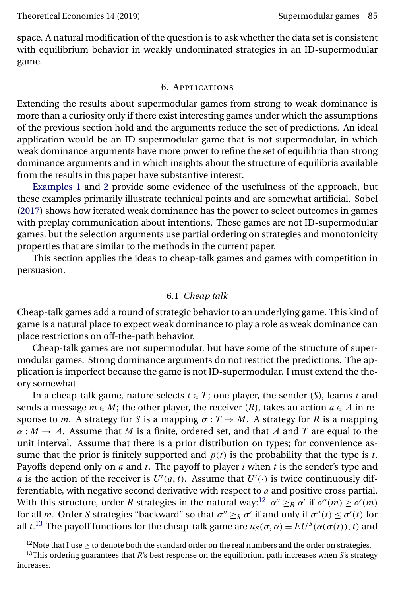<span id="page-14-0"></span>space. A natural modification of the question is to ask whether the data set is consistent with equilibrium behavior in weakly undominated strategies in an ID-supermodular game.

#### 6. Applications

Extending the results about supermodular games from strong to weak dominance is more than a curiosity only if there exist interesting games under which the assumptions of the previous section hold and the arguments reduce the set of predictions. An ideal application would be an ID-supermodular game that is not supermodular, in which weak dominance arguments have more power to refine the set of equilibria than strong dominance arguments and in which insights about the structure of equilibria available from the results in this paper have substantive interest.

[Examples 1](#page-6-0) and [2](#page-7-0) provide some evidence of the usefulness of the approach, but these examples primarily illustrate technical points and are somewhat artificial. Sobel [\(2017\)](#page-31-0) shows how iterated weak dominance has the power to select outcomes in games with preplay communication about intentions. These games are not ID-supermodular games, but the selection arguments use partial ordering on strategies and monotonicity properties that are similar to the methods in the current paper.

This section applies the ideas to cheap-talk games and games with competition in persuasion.

## 6.1 *Cheap talk*

Cheap-talk games add a round of strategic behavior to an underlying game. This kind of game is a natural place to expect weak dominance to play a role as weak dominance can place restrictions on off-the-path behavior.

Cheap-talk games are not supermodular, but have some of the structure of supermodular games. Strong dominance arguments do not restrict the predictions. The application is imperfect because the game is not ID-supermodular. I must extend the theory somewhat.

In a cheap-talk game, nature selects  $t \in T$ ; one player, the sender (S), learns t and sends a message  $m \in M$ ; the other player, the receiver  $(R)$ , takes an action  $a \in A$  in response to m. A strategy for S is a mapping  $\sigma: T \to M$ . A strategy for R is a mapping  $\alpha : M \to A$ . Assume that M is a finite, ordered set, and that A and T are equal to the unit interval. Assume that there is a prior distribution on types; for convenience assume that the prior is finitely supported and  $p(t)$  is the probability that the type is t. Payoffs depend only on  $a$  and  $t$ . The payoff to player  $i$  when  $t$  is the sender's type and *a* is the action of the receiver is  $U^{i}(a, t)$ . Assume that  $U^{i}(\cdot)$  is twice continuously differentiable, with negative second derivative with respect to  $a$  and positive cross partial. With this structure, order R strategies in the natural way:<sup>12</sup>  $\alpha'' \geq_R \alpha'$  if  $\alpha''(m) \geq \alpha'(m)$ for all m. Order S strategies "backward" so that  $\sigma'' \geq_S \sigma'$  if and only if  $\sigma''(t) \leq \sigma'(t)$  for all *t*.<sup>13</sup> The payoff functions for the cheap-talk game are  $u_S(\sigma, \alpha) = EU^S(\alpha(\sigma(t)), t)$  and

<sup>&</sup>lt;sup>12</sup>Note that I use  $\geq$  to denote both the standard order on the real numbers and the order on strategies.

 $13$ This ordering guarantees that R's best response on the equilibrium path increases when S's strategy increases.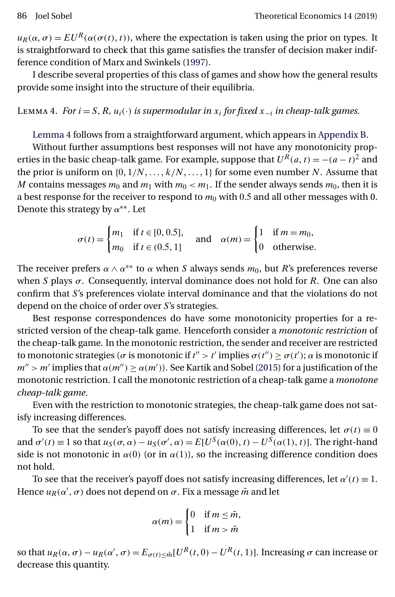<span id="page-15-0"></span> $u_R(\alpha, \sigma) = EU^R(\alpha(\sigma(t), t))$ , where the expectation is taken using the prior on types. It is straightforward to check that this game satisfies the transfer of decision maker indifference condition of Marx and Swinkels [\(1997\)](#page-31-0).

I describe several properties of this class of games and show how the general results provide some insight into the structure of their equilibria.

LEMMA 4. *For*  $i = S, R, u_i(·)$  *is supermodular in*  $x_i$  *for fixed*  $x_{-i}$  *in cheap-talk games.* 

Lemma 4 follows from a straightforward argument, which appears in [Appendix B.](#page-21-0)

Without further assumptions best responses will not have any monotonicity properties in the basic cheap-talk game. For example, suppose that  $U^R(a, t) = -(a - t)^2$  and the prior is uniform on  $\{0, 1/N, \ldots, k/N, \ldots, 1\}$  for some even number N. Assume that M contains messages  $m_0$  and  $m_1$  with  $m_0 < m_1$ . If the sender always sends  $m_0$ , then it is a best response for the receiver to respond to  $m_0$  with 0.5 and all other messages with 0. Denote this strategy by  $\alpha^{**}$ . Let

$$
\sigma(t) = \begin{cases} m_1 & \text{if } t \in [0, 0.5], \\ m_0 & \text{if } t \in (0.5, 1] \end{cases} \quad \text{and} \quad \alpha(m) = \begin{cases} 1 & \text{if } m = m_0, \\ 0 & \text{otherwise.} \end{cases}
$$

The receiver prefers  $\alpha \wedge \alpha^{**}$  to  $\alpha$  when S always sends  $m_0$ , but R's preferences reverse when S plays  $\sigma$ . Consequently, interval dominance does not hold for R. One can also confirm that S's preferences violate interval dominance and that the violations do not depend on the choice of order over S's strategies.

Best response correspondences do have some monotonicity properties for a restricted version of the cheap-talk game. Henceforth consider a *monotonic restriction* of the cheap-talk game. In the monotonic restriction, the sender and receiver are restricted to monotonic strategies ( $\sigma$  is monotonic if  $t'' > t'$  implies  $\sigma(t'') \geq \sigma(t')$ ;  $\alpha$  is monotonic if  $m'' > m'$  implies that  $\alpha(m'') \geq \alpha(m')$ ). See Kartik and Sobel [\(2015\)](#page-30-0) for a justification of the monotonic restriction. I call the monotonic restriction of a cheap-talk game a *monotone cheap-talk game*.

Even with the restriction to monotonic strategies, the cheap-talk game does not satisfy increasing differences.

To see that the sender's payoff does not satisfy increasing differences, let  $\sigma(t) \equiv 0$ and  $\sigma'(t) \equiv 1$  so that  $u_S(\sigma, \alpha) - u_S(\sigma', \alpha) = E[U^S(\alpha(0), t) - U^S(\alpha(1), t)]$ . The right-hand side is not monotonic in  $\alpha(0)$  (or in  $\alpha(1)$ ), so the increasing difference condition does not hold.

To see that the receiver's payoff does not satisfy increasing differences, let  $\alpha'(t) \equiv 1$ . Hence  $u_R(\alpha',\sigma)$  does not depend on  $\sigma.$  Fix a message  $\tilde{m}$  and let

$$
\alpha(m) = \begin{cases} 0 & \text{if } m \leq \tilde{m}, \\ 1 & \text{if } m > \tilde{m} \end{cases}
$$

so that  $u_R(\alpha, \sigma) - u_R(\alpha', \sigma) = E_{\sigma(t) \leq \tilde{m}}[U^R(t, 0) - U^R(t, 1)].$  Increasing  $\sigma$  can increase or decrease this quantity.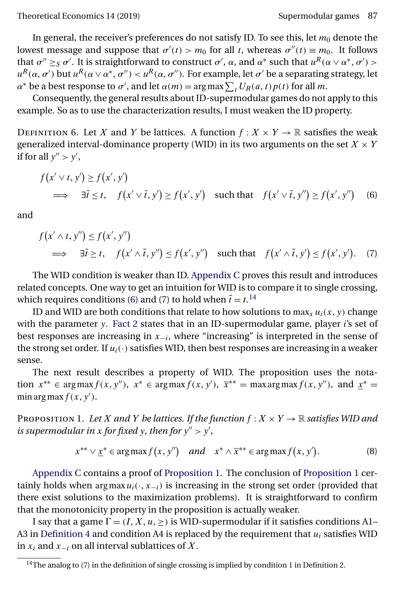<span id="page-16-0"></span>In general, the receiver's preferences do not satisfy ID. To see this, let  $m_0$  denote the lowest message and suppose that  $\sigma'(t) > m_0$  for all t, whereas  $\sigma''(t) \equiv m_0$ . It follows that  $\sigma'' \geq_S \sigma'$ . It is straightforward to construct  $\sigma'$ ,  $\alpha$ , and  $\alpha^*$  such that  $u^R(\alpha \vee \alpha^*, \sigma') >$  $u^R(\alpha,\sigma')$  but  $u^R(\alpha\vee\alpha^*,\sigma'') < u^R(\alpha,\sigma'').$  For example, let  $\sigma'$  be a separating strategy, let  $\alpha^*$  be a best response to  $\sigma'$ , and let  $\alpha(m) = \arg \max \sum_t U_R(a, t) p(t)$  for all m.

Consequently, the general results about ID-supermodular games do not apply to this example. So as to use the characterization results, I must weaken the ID property.

DEFINITION 6. Let X and Y be lattices. A function  $f: X \times Y \to \mathbb{R}$  satisfies the weak generalized interval-dominance property (WID) in its two arguments on the set  $X \times Y$ if for all  $y'' > y'$ ,

$$
f(x' \vee t, y') \ge f(x', y')
$$
  
\n
$$
\implies \exists \tilde{t} \le t, \quad f(x' \vee \tilde{t}, y') \ge f(x', y') \quad \text{such that} \quad f(x' \vee \tilde{t}, y'') \ge f(x', y'')
$$
 (6)

and

$$
f(x' \wedge t, y'') \le f(x', y'')
$$
  
\n
$$
\implies \exists \tilde{t} \ge t, \quad f(x' \wedge \tilde{t}, y'') \le f(x', y'')
$$
 such that  $f(x' \wedge \tilde{t}, y') \le f(x', y').$  (7)

The WID condition is weaker than ID. [Appendix C](#page-25-0) proves this result and introduces related concepts. One way to get an intuition for WID is to compare it to single crossing, which requires conditions (6) and (7) to hold when  $\tilde{t} = t$ .<sup>14</sup>

ID and WID are both conditions that relate to how solutions to  $\max_x u_i(x,y)$  change with the parameter y. [Fact 2](#page-4-0) states that in an ID-supermodular game, player *i*'s set of best responses are increasing in  $x_{-i}$ , where "increasing" is interpreted in the sense of the strong set order. If  $u_i(\cdot)$  satisfies WID, then best responses are increasing in a weaker sense.

The next result describes a property of WID. The proposition uses the notation  $x^{**} \in \arg \max f(x, y'')$ ,  $x^* \in \arg \max f(x, y')$ ,  $\overline{x}^{**} = \max \arg \max f(x, y'')$ , and  $\underline{x}^* =$ min arg max  $f(x, y')$ .

PROPOSITION 1. Let *X* and *Y* be lattices. If the function  $f : X \times Y \to \mathbb{R}$  satisfies WID and *is supermodular in* x for fixed y, then for  $y'' > y'$ ,

$$
x^{**} \vee \underline{x}^* \in \arg\max f(x, y'') \quad \text{and} \quad x^* \wedge \overline{x}^{**} \in \arg\max f(x, y'). \tag{8}
$$

[Appendix C](#page-25-0) contains a proof of Proposition 1. The conclusion of Proposition 1 certainly holds when  $\argmax u_i(\cdot, x_{-i})$  is increasing in the strong set order (provided that there exist solutions to the maximization problems). It is straightforward to confirm that the monotonicity property in the proposition is actually weaker.

I say that a game  $\Gamma = (I, X, u, \geq)$  is WID-supermodular if it satisfies conditions A1– A3 in [Definition 4](#page-3-0) and condition A4 is replaced by the requirement that  $u_i$  satisfies WID in  $x_i$  and  $x_{-i}$  on all interval sublattices of X.

 $\frac{14}{14}$  $\frac{14}{14}$  $\frac{14}{14}$ The analog to (7) in the definition of single crossing is implied by condition 1 in Definition [2.](#page-3-0)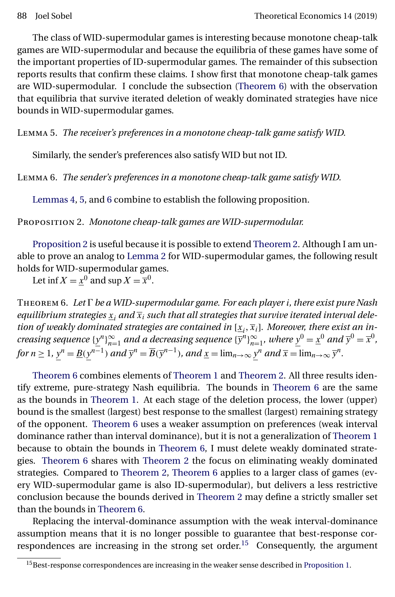<span id="page-17-0"></span>The class of WID-supermodular games is interesting because monotone cheap-talk games are WID-supermodular and because the equilibria of these games have some of the important properties of ID-supermodular games. The remainder of this subsection reports results that confirm these claims. I show first that monotone cheap-talk games are WID-supermodular. I conclude the subsection (Theorem 6) with the observation that equilibria that survive iterated deletion of weakly dominated strategies have nice bounds in WID-supermodular games.

Lemma 5. *The receiver's preferences in a monotone cheap-talk game satisfy WID.*

Similarly, the sender's preferences also satisfy WID but not ID.

Lemma 6. *The sender's preferences in a monotone cheap-talk game satisfy WID.*

[Lemmas 4,](#page-15-0) 5, and 6 combine to establish the following proposition.

Proposition 2. *Monotone cheap-talk games are WID-supermodular.*

Proposition 2 is useful because it is possible to extend [Theorem 2.](#page-8-0) Although I am unable to prove an analog to [Lemma 2](#page-8-0) for WID-supermodular games, the following result holds for WID-supermodular games.

Let inf  $X = \underline{x}^0$  and sup  $X = \overline{x}^0$ .

Theorem 6. *Let be a WID-supermodular game. For each player* i*, there exist pure Nash* equilibrium strategies  $x_i$  and  $\overline{x}_i$  such that all strategies that survive iterated interval deletion of weakly dominated strategies are contained in  $[\underline{x}_i,\overline{x}_i]$ . Moreover, there exist an in*creasing sequence*  $\{\underline{y}^n\}_{n=1}^\infty$  *and a decreasing sequence*  $\{\overline{y}^n\}_{n=1}^\infty$ *, where*  $\underline{y}^0 = \underline{x}^0$  *and*  $\overline{y}^0 = \overline{x}^0$ *, for*  $n \geq 1$ *,*  $y^n = \underline{B}(y^{n-1})$  *and*  $\overline{y}^n = \overline{B}(\overline{y}^{n-1})$ *, and*  $\underline{x} = \lim_{n \to \infty} y^n$  *and*  $\overline{x} = \lim_{n \to \infty} \overline{y}^n$ *.* 

Theorem 6 combines elements of [Theorem 1](#page-5-0) and [Theorem 2.](#page-8-0) All three results identify extreme, pure-strategy Nash equilibria. The bounds in Theorem 6 are the same as the bounds in [Theorem 1.](#page-5-0) At each stage of the deletion process, the lower (upper) bound is the smallest (largest) best response to the smallest (largest) remaining strategy of the opponent. Theorem 6 uses a weaker assumption on preferences (weak interval dominance rather than interval dominance), but it is not a generalization of [Theorem 1](#page-5-0) because to obtain the bounds in Theorem 6, I must delete weakly dominated strategies. Theorem 6 shares with [Theorem 2](#page-8-0) the focus on eliminating weakly dominated strategies. Compared to [Theorem 2,](#page-8-0) Theorem 6 applies to a larger class of games (every WID-supermodular game is also ID-supermodular), but delivers a less restrictive conclusion because the bounds derived in [Theorem 2](#page-8-0) may define a strictly smaller set than the bounds in Theorem 6.

Replacing the interval-dominance assumption with the weak interval-dominance assumption means that it is no longer possible to guarantee that best-response correspondences are increasing in the strong set order.<sup>15</sup> Consequently, the argument

<sup>&</sup>lt;sup>15</sup>Best-response correspondences are increasing in the weaker sense described in [Proposition 1.](#page-16-0)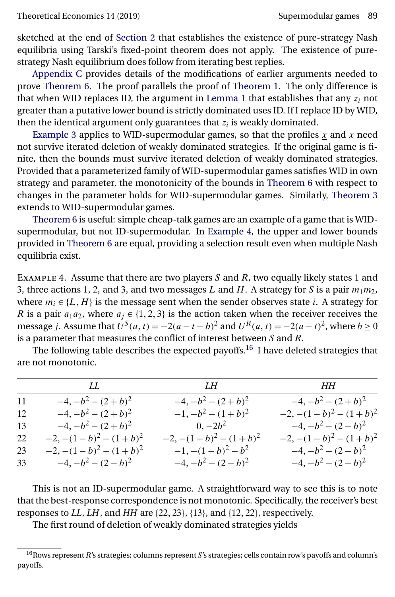sketched at the end of [Section 2](#page-2-0) that establishes the existence of pure-strategy Nash equilibria using Tarski's fixed-point theorem does not apply. The existence of purestrategy Nash equilibrium does follow from iterating best replies.

[Appendix C](#page-25-0) provides details of the modifications of earlier arguments needed to prove [Theorem 6.](#page-17-0) The proof parallels the proof of [Theorem 1.](#page-5-0) The only difference is that when WID replaces ID, the argument in [Lemma 1](#page-5-0) that establishes that any  $z_i$  not greater than a putative lower bound is strictly dominated uses ID. If I replace ID by WID, then the identical argument only guarantees that  $z_i$  is weakly dominated.

[Example 3](#page-9-0) applies to WID-supermodular games, so that the profiles x and  $\bar{x}$  need not survive iterated deletion of weakly dominated strategies. If the original game is finite, then the bounds must survive iterated deletion of weakly dominated strategies. Provided that a parameterized family of WID-supermodular games satisfies WID in own strategy and parameter, the monotonicity of the bounds in [Theorem 6](#page-17-0) with respect to changes in the parameter holds for WID-supermodular games. Similarly, [Theorem 3](#page-11-0) extends to WID-supermodular games.

[Theorem 6](#page-17-0) is useful: simple cheap-talk games are an example of a game that is WIDsupermodular, but not ID-supermodular. In Example 4, the upper and lower bounds provided in [Theorem 6](#page-17-0) are equal, providing a selection result even when multiple Nash equilibria exist.

EXAMPLE 4. Assume that there are two players  $S$  and  $R$ , two equally likely states 1 and 3, three actions 1, 2, and 3, and two messages L and H. A strategy for S is a pair  $m_1m_2$ , where  $m_i \in \{L, H\}$  is the message sent when the sender observes state i. A strategy for R is a pair  $a_1a_2$ , where  $a_j \in \{1, 2, 3\}$  is the action taken when the receiver receives the message *j*. Assume that  $U^S(a,t) = -2(a-t-b)^2$  and  $U^R(a,t) = -2(a-t)^2$ , where  $b \ge 0$ is a parameter that measures the conflict of interest between  $S$  and  $R$ .

|    | LL                       | <i>LH</i> HH             |                          |
|----|--------------------------|--------------------------|--------------------------|
| 11 | $-4, -b^2 - (2 + b)^2$   | $-4, -b^2 - (2 + b)^2$   | $-4, -b^2 - (2 + b)^2$   |
| 12 | $-4, -b^2 - (2 + b)^2$   | $-1, -b^2 - (1+b)^2$     | $-2, -(1-b)^2 - (1+b)^2$ |
| 13 | $-4, -b^2 - (2 + b)^2$   | $0, -2b^2$               | $-4, -b^2 - (2 - b)^2$   |
| 22 | $-2, -(1-b)^2 - (1+b)^2$ | $-2, -(1-b)^2 - (1+b)^2$ | $-2, -(1-b)^2 - (1+b)^2$ |
| 23 | $-2, -(1-b)^2 - (1+b)^2$ | $-1, -(1-b)^2-b^2$       | $-4, -b^2 - (2 - b)^2$   |
| 33 | $-4, -b^2 - (2 - b)^2$   | $-4, -b^2 - (2 - b)^2$   | $-4, -b^2 - (2 - b)^2$   |

The following table describes the expected payoffs.<sup>16</sup> I have deleted strategies that are not monotonic.

This is not an ID-supermodular game. A straightforward way to see this is to note that the best-response correspondence is not monotonic. Specifically, the receiver's best responses to LL, LH, and HH are  $\{22, 23\}$ ,  $\{13\}$ , and  $\{12, 22\}$ , respectively.

The first round of deletion of weakly dominated strategies yields

 $16$ Rows represent R's strategies; columns represent S's strategies; cells contain row's payoffs and column's payoffs.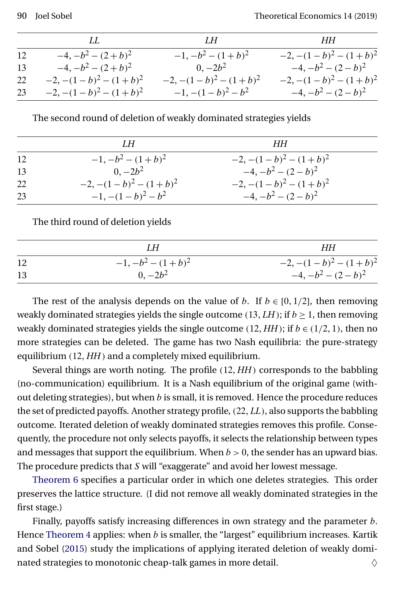<span id="page-19-0"></span>

|    | LL.                      | LH                       | НН                       |
|----|--------------------------|--------------------------|--------------------------|
| 12 | $-4, -b^2 - (2 + b)^2$   | $-1, -b^2 - (1+b)^2$     | $-2, -(1-b)^2 - (1+b)^2$ |
| 13 | $-4, -b^2 - (2 + b)^2$   | $0, -2b^2$               | $-4, -b^2 - (2 - b)^2$   |
| 22 | $-2, -(1-b)^2 - (1+b)^2$ | $-2, -(1-b)^2 - (1+b)^2$ | $-2, -(1-b)^2 - (1+b)^2$ |
| 23 | $-2, -(1-b)^2 - (1+b)^2$ | $-1, -(1-b)^2-b^2$       | $-4, -b^2 - (2 - b)^2$   |

The second round of deletion of weakly dominated strategies yields

|    | LН                       | HН                       |  |
|----|--------------------------|--------------------------|--|
| 12 | $-1, -b^2 - (1+b)^2$     | $-2, -(1-b)^2 - (1+b)^2$ |  |
| 13 | $0, -2b^2$               | $-4, -b^2 - (2 - b)^2$   |  |
| 22 | $-2, -(1-b)^2 - (1+b)^2$ | $-2, -(1-b)^2 - (1+b)^2$ |  |
| 23 | $-1, -(1-b)^2 - b^2$     | $-4, -b^2 - (2 - b)^2$   |  |

The third round of deletion yields

|    | IН                   | HН                       |
|----|----------------------|--------------------------|
| 12 | $-1, -b^2 - (1+b)^2$ | $-2, -(1-b)^2 - (1+b)^2$ |
| 13 | $0, -2b^2$           | $-4, -b^2 - (2 - b)^2$   |

The rest of the analysis depends on the value of b. If  $b \in [0, 1/2]$ , then removing weakly dominated strategies yields the single outcome (13,  $LH$ ); if  $b \geq 1$ , then removing weakly dominated strategies yields the single outcome  $(12, HH)$ ; if  $b \in (1/2, 1)$ , then no more strategies can be deleted. The game has two Nash equilibria: the pure-strategy equilibrium (12-*HH*) and a completely mixed equilibrium.

Several things are worth noting. The profile (12-*HH*) corresponds to the babbling (no-communication) equilibrium. It is a Nash equilibrium of the original game (without deleting strategies), but when  $b$  is small, it is removed. Hence the procedure reduces the set of predicted payoffs. Another strategy profile, (22-*LL*), also supports the babbling outcome. Iterated deletion of weakly dominated strategies removes this profile. Consequently, the procedure not only selects payoffs, it selects the relationship between types and messages that support the equilibrium. When  $b > 0$ , the sender has an upward bias. The procedure predicts that S will "exaggerate" and avoid her lowest message.

[Theorem 6](#page-17-0) specifies a particular order in which one deletes strategies. This order preserves the lattice structure. (I did not remove all weakly dominated strategies in the first stage.)

Finally, payoffs satisfy increasing differences in own strategy and the parameter b. Hence [Theorem 4](#page-12-0) applies: when  $b$  is smaller, the "largest" equilibrium increases. Kartik and Sobel [\(2015\)](#page-30-0) study the implications of applying iterated deletion of weakly dominated strategies to monotonic cheap-talk games in more detail.  $\Diamond$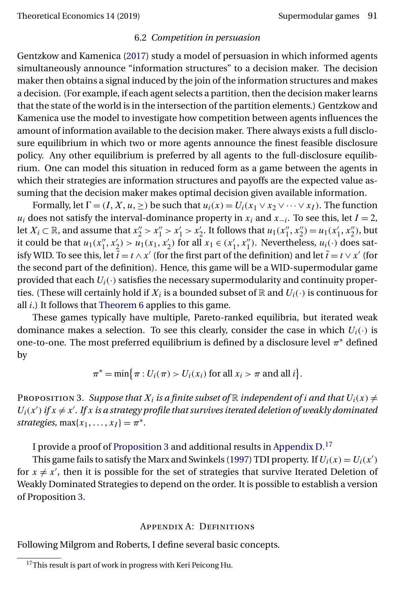#### 6.2 *Competition in persuasion*

<span id="page-20-0"></span>Gentzkow and Kamenica [\(2017\)](#page-30-0) study a model of persuasion in which informed agents simultaneously announce "information structures" to a decision maker. The decision maker then obtains a signal induced by the join of the information structures and makes a decision. (For example, if each agent selects a partition, then the decision maker learns that the state of the world is in the intersection of the partition elements.) Gentzkow and Kamenica use the model to investigate how competition between agents influences the amount of information available to the decision maker. There always exists a full disclosure equilibrium in which two or more agents announce the finest feasible disclosure policy. Any other equilibrium is preferred by all agents to the full-disclosure equilibrium. One can model this situation in reduced form as a game between the agents in which their strategies are information structures and payoffs are the expected value assuming that the decision maker makes optimal decision given available information.

Formally, let  $\Gamma = (I, X, u, \geq)$  be such that  $u_i(x) = U_i(x_1 \vee x_2 \vee \cdots \vee x_I)$ . The function  $u_i$  does not satisfy the interval-dominance property in  $x_i$  and  $x_{-i}$ . To see this, let  $I = 2$ , let  $X_i \subset \mathbb{R}$ , and assume that  $x_2'' > x_1'' > x_2'$ . It follows that  $u_1(x_1'', x_2'') = u_1(x_1', x_2'')$ , but it could be that  $u_1(x_1'', x_2') > u_1(x_1, x_2')$  for all  $x_1 \in (x_1', x_1'')$ . Nevertheless,  $u_i(\cdot)$  does satisfy WID. To see this, let  $\tilde{t} = t \wedge x'$  (for the first part of the definition) and let  $\tilde{t} = t \vee x'$  (for the second part of the definition). Hence, this game will be a WID-supermodular game provided that each  $U_i(\cdot)$  satisfies the necessary supermodularity and continuity properties. (These will certainly hold if  $X_i$  is a bounded subset of R and  $U_i(\cdot)$  is continuous for all  $i$ .) It follows that [Theorem 6](#page-17-0) applies to this game.

These games typically have multiple, Pareto-ranked equilibria, but iterated weak dominance makes a selection. To see this clearly, consider the case in which  $U_i(\cdot)$  is one-to-one. The most preferred equilibrium is defined by a disclosure level  $\pi^*$  defined by

 $\pi^* = \min\bigl\{\pi : U_i(\pi) > U_i(x_i) \text{ for all } x_i > \pi \text{ and all } i\bigr\}.$ 

PROPOSITION 3. Suppose that  $X_i$  is a finite subset of  $\mathbb R$  independent of *i* and that  $U_i(x) \neq$  $U_i(x')$  if  $x \neq x'$ . If  $x$  is a strategy profile that survives iterated deletion of weakly dominated *strategies,*  $\max\{x_1, \ldots, x_I\} = \pi^*$ .

I provide a proof of Proposition 3 and additional results in [Appendix D.](#page-27-0) $^{17}$ 

This game fails to satisfy the Marx and Swinkels [\(1997\)](#page-31-0) TDI property. If  $U_i(x) = U_i(x')$ for  $x \neq x'$ , then it is possible for the set of strategies that survive Iterated Deletion of Weakly Dominated Strategies to depend on the order. It is possible to establish a version of Proposition 3.

#### Appendix A: Definitions

Following Milgrom and Roberts, I define several basic concepts.

 $17$ This result is part of work in progress with Keri Peicong Hu.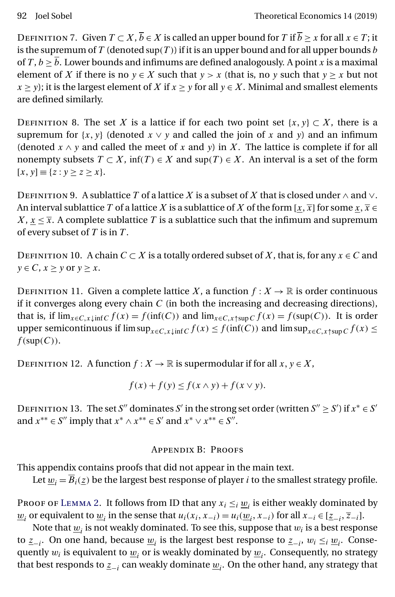<span id="page-21-0"></span>DEFINITION 7. Given  $T \subset X, \overline{b} \in X$  is called an upper bound for T if  $\overline{b} > x$  for all  $x \in T$ ; it is the supremum of T (denoted sup(T)) if it is an upper bound and for all upper bounds b of T,  $b \geq \overline{b}$ . Lower bounds and infimums are defined analogously. A point x is a maximal element of X if there is no  $y \in X$  such that  $y > x$  (that is, no y such that  $y > x$  but not  $x \ge y$ ; it is the largest element of X if  $x \ge y$  for all  $y \in X$ . Minimal and smallest elements are defined similarly.

DEFINITION 8. The set X is a lattice if for each two point set  $\{x, y\} \subset X$ , there is a supremum for  $\{x, y\}$  (denoted  $x \vee y$  and called the join of x and y) and an infimum (denoted  $x \wedge y$  and called the meet of x and y) in X. The lattice is complete if for all nonempty subsets  $T \subset X$ , inf(T)  $\in X$  and sup(T)  $\in X$ . An interval is a set of the form  $[x, y] \equiv \{z : y \ge z \ge x\}.$ 

DEFINITION 9. A sublattice T of a lattice X is a subset of X that is closed under  $\wedge$  and  $\vee$ . An interval sublattice  $T$  of a lattice  $X$  is a sublattice of  $X$  of the form [ $\underline{x},\overline{x}$ ] for some  $\underline{x},\overline{x}\in$  $X, x \leq \overline{x}$ . A complete sublattice T is a sublattice such that the infimum and supremum of every subset of  $T$  is in  $T$ .

DEFINITION 10. A chain  $C \subset X$  is a totally ordered subset of X, that is, for any  $x \in C$  and  $y \in C$ ,  $x \geq y$  or  $y \geq x$ .

DEFINITION 11. Given a complete lattice X, a function  $f: X \to \mathbb{R}$  is order continuous if it converges along every chain  $C$  (in both the increasing and decreasing directions), that is, if  $\lim_{x \in C, x \downarrow \inf C} f(x) = f(\inf(C))$  and  $\lim_{x \in C, x \uparrow \sup C} f(x) = f(\sup(C))$ . It is order upper semicontinuous if  $\limsup_{x\in C, x\downarrow \inf C} f(x) \le f(\inf(C))$  and  $\limsup_{x\in C, x\uparrow \sup C} f(x) \le$  $f(\text{sup}(C)).$ 

DEFINITION 12. A function  $f: X \to \mathbb{R}$  is supermodular if for all  $x, y \in X$ ,

$$
f(x) + f(y) \le f(x \wedge y) + f(x \vee y).
$$

DEFINITION 13. The set S'' dominates S' in the strong set order (written  $S'' \geq S'$ ) if  $x^* \in S'$ and  $x^{**} \in S''$  imply that  $x^* \wedge x^{**} \in S'$  and  $x^* \vee x^{**} \in S''$ .

# Appendix B: Proofs

This appendix contains proofs that did not appear in the main text.

Let  $w_i = \overline{B}_i(z)$  be the largest best response of player *i* to the smallest strategy profile.

PROOF OF LEMMA 2. It follows from ID that any  $x_i \leq_i w_i$  is either weakly dominated by  $\underline{w}_i$  or equivalent to  $\underline{w}_i$  in the sense that  $u_i(x_i, x_{-i}) = u_i(\underline{w}_i, x_{-i})$  for all  $x_{-i} \in [\underline{z}_{-i}, \overline{z}_{-i}]$ .

Note that  $\underline{w}_i$  is not weakly dominated. To see this, suppose that  $w_i$  is a best response to  $z_{-i}$ . On one hand, because  $w_i$  is the largest best response to  $z_{-i}$ ,  $w_i \leq_i w_i$ . Consequently  $w_i$  is equivalent to  $\underline{w}_i$  or is weakly dominated by  $\underline{w}_i$ . Consequently, no strategy that best responds to  $\underline{z}_{-i}$  can weakly dominate  $\underline{w}_i$ . On the other hand, any strategy that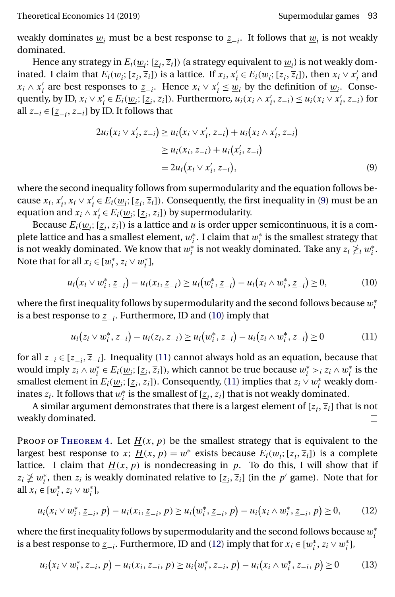<span id="page-22-0"></span>weakly dominates  $w_i$  must be a best response to  $z_{i-1}$ . It follows that  $w_i$  is not weakly dominated.

Hence any strategy in  $E_i(\underline{w}_i; [\underline{z}_i,\overline{z}_i])$  (a strategy equivalent to  $\underline{w}_i$ ) is not weakly dominated. I claim that  $E_i(\underline{w}_i; [\underline{z}_i,\overline{z}_i])$  is a lattice. If  $x_i, x'_i \in E_i(\underline{w}_i; [\underline{z}_i,\overline{z}_i])$ , then  $x_i \vee x'_i$  and  $x_i \wedge x'_i$  are best responses to  $\underline{z}_{-i}$ . Hence  $x_i \vee x'_i \leq \underline{w}_i$  by the definition of  $\underline{w}_i$ . Consequently, by ID,  $x_i \vee x'_i \in E_i(\underline{w}_i; [\underline{z}_i, \overline{z}_i])$ . Furthermore,  $u_i(x_i \wedge x'_i, z_{-i}) \leq u_i(x_i \vee x'_i, z_{-i})$  for all  $z_{-i}$  ∈ [ $\underline{z}_{-i}$ ,  $\overline{z}_{-i}$ ] by ID. It follows that

$$
2u_i(x_i \vee x'_i, z_{-i}) \ge u_i(x_i \vee x'_i, z_{-i}) + u_i(x_i \wedge x'_i, z_{-i})
$$
  
\n
$$
\ge u_i(x_i, z_{-i}) + u_i(x'_i, z_{-i})
$$
  
\n
$$
= 2u_i(x_i \vee x'_i, z_{-i}),
$$
 (9)

where the second inequality follows from supermodularity and the equation follows because  $x_i, x'_i, x_i \vee x'_i \in E_i(\underline{w}_i; [\underline{z}_i, \overline{z}_i])$ . Consequently, the first inequality in (9) must be an equation and  $x_i \wedge x'_i \in E_i(\underline{w}_i; [\underline{z}_i, \overline{z}_i])$  by supermodularity.

Because  $E_i(\underline{w}_i; [\underline{z}_i,\overline{z}_i])$  is a lattice and  $u$  is order upper semicontinuous, it is a complete lattice and has a smallest element,  $w_i^*$ . I claim that  $w_i^*$  is the smallest strategy that is not weakly dominated. We know that  $w_i^*$  is not weakly dominated. Take any  $z_i\ngeq_i w_i^*.$ Note that for all  $x_i \in [w_i^*, z_i \vee w_i^*]$ ,

$$
u_i(x_i \vee w_i^*, \underline{z}_{-i}) - u_i(x_i, \underline{z}_{-i}) \ge u_i(w_i^*, \underline{z}_{-i}) - u_i(x_i \wedge w_i^*, \underline{z}_{-i}) \ge 0,
$$
 (10)

where the first inequality follows by supermodularity and the second follows because  $w_i^\ast$ is a best response to  $\underline{z_{-i}}$ . Furthermore, ID and (10) imply that

$$
u_i(z_i \vee w_i^*, z_{-i}) - u_i(z_i, z_{-i}) \ge u_i(w_i^*, z_{-i}) - u_i(z_i \wedge w_i^*, z_{-i}) \ge 0 \tag{11}
$$

for all  $z_{-i} \in [\underline{z}_{-i}, \overline{z}_{-i}]$ . Inequality (11) cannot always hold as an equation, because that would imply  $z_i \wedge w_i^* \in E_i(\underline{w}_i; [\underline{z}_i, \overline{z}_i])$ , which cannot be true because  $w_i^* >_i z_i \wedge w_i^*$  is the smallest element in  $E_i(\underline{w}_i; [\underline{z}_i,\overline{z}_i])$ . Consequently, (11) implies that  $z_i \vee w_i^*$  weakly dominates  $z_i$ . It follows that  $w_i^*$  is the smallest of  $[\underline{z}_i, \overline{z}_i]$  that is not weakly dominated.

A similar argument demonstrates that there is a largest element of  $[\underline{z}_i,\overline{z}_i]$  that is not weakly dominated.  $\Box$ 

PROOF OF THEOREM 4. Let  $\underline{H}(x, p)$  be the smallest strategy that is equivalent to the largest best response to x;  $\underline{H}(x, p) = w^*$  exists because  $E_i(\underline{w}_i; [\underline{z}_i, \overline{z}_i])$  is a complete lattice. I claim that  $\underline{H}(x,\,p)$  is nondecreasing in  $p.$  To do this, I will show that if  $z_i \not\geq w_i^*$ , then  $z_i$  is weakly dominated relative to  $[\underline{z}_i, \overline{z}_i]$  (in the  $p'$  game). Note that for all  $x_i \in [w_i^*, z_i \vee w_i^*]$ ,

$$
u_i(x_i \vee w_i^*, \underline{z}_{-i}, p) - u_i(x_i, \underline{z}_{-i}, p) \ge u_i(w_i^*, \underline{z}_{-i}, p) - u_i(x_i \wedge w_i^*, \underline{z}_{-i}, p) \ge 0,
$$
 (12)

where the first inequality follows by supermodularity and the second follows because  $w_i^\ast$ is a best response to  $\underline{z}_{-i}$ . Furthermore, ID and (12) imply that for  $x_i \in [w_i^*, z_i \vee w_i^*]$ ,

$$
u_i(x_i \vee w_i^*, z_{-i}, p) - u_i(x_i, z_{-i}, p) \ge u_i(w_i^*, z_{-i}, p) - u_i(x_i \wedge w_i^*, z_{-i}, p) \ge 0 \tag{13}
$$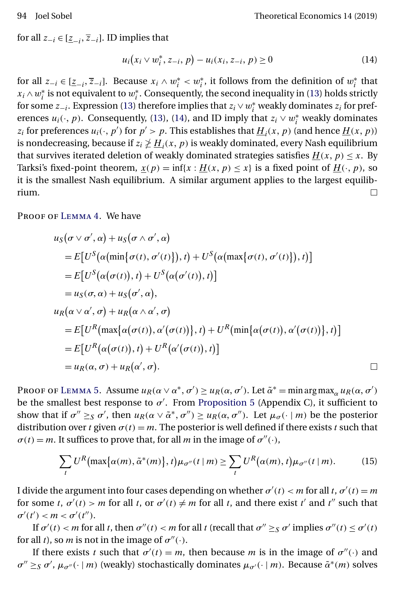<span id="page-23-0"></span>for all  $z_{-i} \in [\underline{z}_{-i}, \overline{z}_{-i}].$  ID implies that

$$
u_i(x_i \vee w_i^*, z_{-i}, p) - u_i(x_i, z_{-i}, p) \ge 0
$$
\n(14)

for all  $z_{-i} \in [\underline{z}_{-i}, \overline{z}_{-i}]$ . Because  $x_i \wedge w_i^* < w_i^*$ , it follows from the definition of  $w_i^*$  that  $x_i \wedge w_i^*$  is not equivalent to  $w_i^*$ . Consequently, the second inequality in [\(13\)](#page-22-0) holds strictly for some  $z_{-i}$ . Expression [\(13\)](#page-22-0) therefore implies that  $z_i \vee w_i^*$  weakly dominates  $z_i$  for preferences  $u_i(\cdot, p)$ . Consequently, [\(13\)](#page-22-0), (14), and ID imply that  $z_i \vee w_i^*$  weakly dominates  $z_i$  for preferences  $u_i(\cdot, p')$  for  $p' > p$ . This establishes that  $\underline{H}_i(x, p)$  (and hence  $\underline{H}(x, p)$ ) is nondecreasing, because if  $z_i \ngeq \underline{H}_i(x,\,p)$  is weakly dominated, every Nash equilibrium that survives iterated deletion of weakly dominated strategies satisfies  $\underline{H}(x, p) \leq x$ . By Tarksi's fixed-point theorem,  $\underline{x}(p) = \inf\{x : \underline{H}(x, p) \leq x\}$  is a fixed point of  $\underline{H}(\cdot, p)$ , so it is the smallest Nash equilibrium. A similar argument applies to the largest equilibrium.  $\Box$ 

PROOF OF LEMMA 4. We have

$$
u_S(\sigma \vee \sigma', \alpha) + u_S(\sigma \wedge \sigma', \alpha)
$$
  
=  $E[U^S(\alpha(\min{\sigma(t), \sigma'(t)}), t) + U^S(\alpha(\max{\sigma(t), \sigma'(t)}), t)]$   
=  $E[U^S(\alpha(\sigma(t)), t) + U^S(\alpha(\sigma'(t)), t)]$   
=  $u_S(\sigma, \alpha) + u_S(\sigma', \alpha),$   
 $u_R(\alpha \vee \alpha', \sigma) + u_R(\alpha \wedge \alpha', \sigma)$   
=  $E[U^R(\max{\{\alpha(\sigma(t)), \alpha'(\sigma(t))\}}, t) + U^R(\min{\{\alpha(\sigma(t)), \alpha'(\sigma(t))\}}, t)]$   
=  $E[U^R(\alpha(\sigma(t)), t) + U^R(\alpha'(\sigma(t)), t)]$   
=  $u_R(\alpha, \sigma) + u_R(\alpha', \sigma).$ 

Proof of L[emma](#page-17-0) 5. Assume  $u_R(\alpha \vee \alpha^*, \sigma') \geq u_R(\alpha, \sigma')$ . Let  $\tilde{\alpha}^* = \min \arg \max_{\alpha} u_R(\alpha, \sigma')$ be the smallest best response to  $\sigma'$ . From [Proposition 5](#page-26-0) (Appendix C), it sufficient to show that if  $\sigma'' \geq_S \sigma'$ , then  $u_R(\alpha \vee \tilde{\alpha}^*, \sigma'') \geq u_R(\alpha, \sigma'')$ . Let  $\mu_\sigma(\cdot | m)$  be the posterior distribution over t given  $\sigma(t) = m$ . The posterior is well defined if there exists t such that  $\sigma(t) = m$ . It suffices to prove that, for all *m* in the image of  $\sigma''(\cdot)$ ,

$$
\sum_{t} U^{R} \big( \max\{\alpha(m), \tilde{\alpha}^{*}(m)\}, t \big) \mu_{\sigma''}(t \mid m) \ge \sum_{t} U^{R} \big( \alpha(m), t \big) \mu_{\sigma''}(t \mid m). \tag{15}
$$

I divide the argument into four cases depending on whether  $\sigma'(t) < m$  for all t,  $\sigma'(t) = m$ for some t,  $\sigma'(t) > m$  for all t, or  $\sigma'(t) \neq m$  for all t, and there exist t' and t'' such that  $\sigma'(t') < m < \sigma'(t'').$ 

If  $\sigma'(t) < m$  for all t, then  $\sigma''(t) < m$  for all t (recall that  $\sigma'' \geq s$   $\sigma'$  implies  $\sigma''(t) \leq \sigma'(t)$ for all t), so *m* is not in the image of  $\sigma''(\cdot)$ .

If there exists t such that  $\sigma'(t) = m$ , then because m is in the image of  $\sigma''(\cdot)$  and  $\sigma'' \geq_S \sigma'$ ,  $\mu_{\sigma''}(\cdot | m)$  (weakly) stochastically dominates  $\mu_{\sigma'}(\cdot | m)$ . Because  $\tilde{\alpha}^*(m)$  solves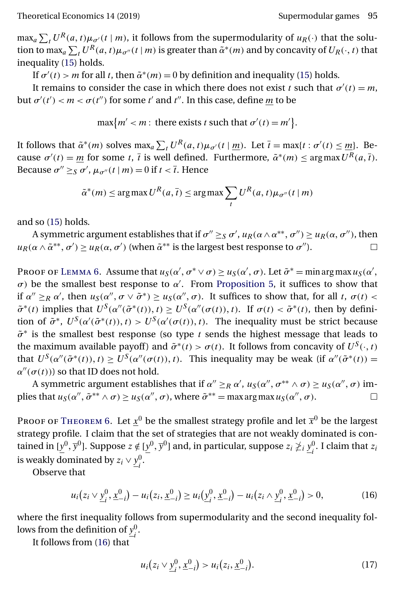<span id="page-24-0"></span> $\max_a \sum_t U^R(a,t) \mu_{\sigma'}(t \mid m)$ , it follows from the supermodularity of  $u_R(\cdot)$  that the solution to max<sub>a</sub>  $\sum_t U^R(a,t)\mu_{\sigma''}(t|m)$  is greater than  $\tilde{\alpha}^*(m)$  and by concavity of  $U_R(\cdot,t)$  that inequality [\(15\)](#page-23-0) holds.

If  $\sigma'(t) > m$  for all t, then  $\tilde{\alpha}^*(m) = 0$  by definition and inequality [\(15\)](#page-23-0) holds.

It remains to consider the case in which there does not exist t such that  $\sigma'(t) = m$ , but  $\sigma'(t') < m < \sigma(t'')$  for some t' and t''. In this case, define  $\underline{m}$  to be

 $\max\{m' < m: \text{ there exists } t \text{ such that } \sigma'(t) = m'\}.$ 

It follows that  $\tilde{\alpha}^*(m)$  solves  $\max_a \sum_t U^R(a, t) \mu_{\sigma'}(t | \underline{m})$ . Let  $\bar{t} = \max\{t : \sigma'(t) \leq \underline{m}\}$ . Because  $\sigma'(t) = m$  for some t, t is well defined. Furthermore,  $\tilde{\alpha}^*(m) \le \arg \max U^R(a, \overline{t})$ . Because  $\sigma'' \geq_S \sigma'$ ,  $\mu_{\sigma''}(t | m) = 0$  if  $t < \bar{t}$ . Hence

$$
\tilde{\alpha}^*(m) \le \arg\max U^R(a, \overline{t}) \le \arg\max \sum_t U^R(a, t) \mu_{\sigma''}(t \mid m)
$$

and so [\(15\)](#page-23-0) holds.

A symmetric argument establishes that if  $\sigma'' \geq_S \sigma'$ ,  $u_R(\alpha \wedge \alpha^{**}, \sigma'') \geq u_R(\alpha, \sigma'')$ , then  $u_R(\alpha \wedge \tilde{\alpha}^{**}, \sigma') \ge u_R(\alpha, \sigma')$  (when  $\tilde{\alpha}^{**}$  is the largest best response to  $\sigma'$ ). П

Proof of L[emma](#page-17-0) 6. Assume that  $u_S(\alpha', \sigma^* \vee \sigma) \ge u_S(\alpha', \sigma)$ . Let  $\tilde{\sigma}^* = \min \arg \max u_S(\alpha', \sigma)$  $σ$ ) be the smallest best response to  $α'$ . From [Proposition 5,](#page-26-0) it suffices to show that if  $\alpha'' \geq_R \alpha'$ , then  $u_S(\alpha'', \sigma \vee \tilde{\sigma}^*) \geq u_S(\alpha'', \sigma)$ . It suffices to show that, for all t,  $\sigma(t) <$  $\tilde{\sigma}^*(t)$  implies that  $U^S(\alpha''(\tilde{\sigma}^*(t)), t) \geq U^S(\alpha''(\sigma(t)), t)$ . If  $\sigma(t) < \tilde{\sigma}^*(t)$ , then by definition of  $\tilde{\sigma}^*$ ,  $U^S(\alpha'(\tilde{\sigma}^*(t)), t) > U^S(\alpha'(\sigma(t)), t)$ . The inequality must be strict because  $\tilde{\sigma}^*$  is the smallest best response (so type t sends the highest message that leads to the maximum available payoff) and  $\tilde{\sigma}^*(t) > \sigma(t)$ . It follows from concavity of  $U^S(\cdot, t)$ that  $U^S(\alpha''(\tilde{\sigma}^*(t)), t) \geq U^S(\alpha''(\sigma(t)), t)$ . This inequality may be weak (if  $\alpha''(\tilde{\sigma}^*(t)) =$  $\alpha''(\sigma(t))$  so that ID does not hold.

A symmetric argument establishes that if  $\alpha'' \geq_R \alpha'$ ,  $u_S(\alpha'', \sigma^{**} \wedge \sigma) \geq u_S(\alpha'', \sigma)$  implies that  $u_S(\alpha'', \tilde{\sigma}^{**} \wedge \sigma) \ge u_S(\alpha'', \sigma)$ , where  $\tilde{\sigma}^{**} = \max \arg \max u_S(\alpha'', \sigma)$ .  $\Box$ 

PROOF OF THEOREM 6. Let  $\underline{x}^0$  be the smallest strategy profile and let  $\overline{x}^0$  be the largest strategy profile. I claim that the set of strategies that are not weakly dominated is contained in [ $\underline{y}^0, \overline{y}^0$ ]. Suppose  $z \notin [\underline{y}^0, \overline{y}^0]$  and, in particular, suppose  $z_i \not\succeq_i \underline{y}^0_i$ . I claim that  $z_i$ is weakly dominated by  $z_i \vee \underline{y}_i^0$ .

Observe that

$$
u_i(z_i \vee \underline{y}_i^0, \underline{x}_{-i}^0) - u_i(z_i, \underline{x}_{-i}^0) \ge u_i(\underline{y}_i^0, \underline{x}_{-i}^0) - u_i(z_i \wedge \underline{y}_i^0, \underline{x}_{-i}^0) > 0,
$$
 (16)

where the first inequality follows from supermodularity and the second inequality follows from the definition of  $\underline{y}_i^0$ .

It follows from (16) that

$$
u_i(z_i \vee \underline{y}_i^0, \underline{x}_{-i}^0) > u_i(z_i, \underline{x}_{-i}^0).
$$
 (17)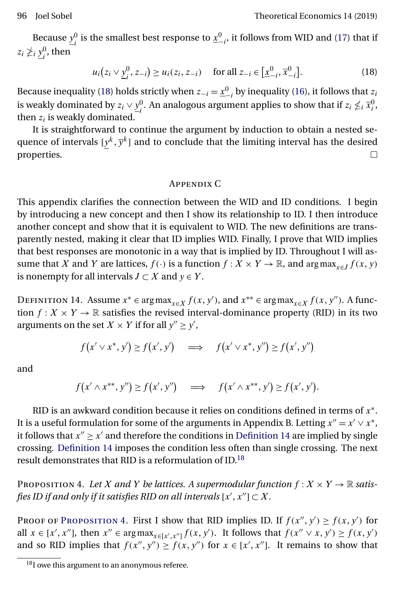<span id="page-25-0"></span>Because  $\underline{y}_i^0$  is the smallest best response to  $\underline{x}_{-i}^0$ , it follows from WID and [\(17\)](#page-24-0) that if  $z_i \not\geq_i \underline{y}_i^0$ , then

$$
u_i(z_i \vee \underline{y}_i^0, z_{-i}) \ge u_i(z_i, z_{-i}) \quad \text{ for all } z_{-i} \in [\underline{x}_{-i}^0, \overline{x}_{-i}^0]. \tag{18}
$$

Because inequality (18) holds strictly when  $z_{-i} = \underline{x}_{-i}^0$  by inequality [\(16\)](#page-24-0), it follows that  $z_i$ is weakly dominated by  $z_i \vee \underline{y}_i^0$ . An analogous argument applies to show that if  $z_i \nleq_i \overline{x}_i^0$ , then  $z_i$  is weakly dominated.

It is straightforward to continue the argument by induction to obtain a nested sequence of intervals  $[y^k, \overline{y}^k]$  and to conclude that the limiting interval has the desired properties.  $\Box$ 

#### Appendix C

This appendix clarifies the connection between the WID and ID conditions. I begin by introducing a new concept and then I show its relationship to ID. I then introduce another concept and show that it is equivalent to WID. The new definitions are transparently nested, making it clear that ID implies WID. Finally, I prove that WID implies that best responses are monotonic in a way that is implied by ID. Throughout I will assume that X and Y are lattices,  $f(\cdot)$  is a function  $f: X \times Y \to \mathbb{R}$ , and  $\arg \max_{x \in J} f(x, y)$ is nonempty for all intervals  $J \subset X$  and  $y \in Y$ .

DEFINITION 14. Assume  $x^* \in \arg \max_{x \in X} f(x, y')$ , and  $x^{**} \in \arg \max_{x \in X} f(x, y'')$ . A function  $f: X \times Y \to \mathbb{R}$  satisfies the revised interval-dominance property (RID) in its two arguments on the set  $X \times Y$  if for all  $y'' \ge y'$ ,

$$
f(x' \vee x^*, y') \ge f(x', y') \quad \implies \quad f(x' \vee x^*, y'') \ge f(x', y'')
$$

and

$$
f(x' \wedge x^{**}, y'') \ge f(x', y'') \quad \Longrightarrow \quad f(x' \wedge x^{**}, y') \ge f(x', y').
$$

RID is an awkward condition because it relies on conditions defined in terms of  $x^*$ . It is a useful formulation for some of the arguments in Appendix B. Letting  $x'' = x' \vee x^*$ , it follows that  $x'' > x'$  and therefore the conditions in Definition 14 are implied by single crossing. Definition 14 imposes the condition less often than single crossing. The next result demonstrates that RID is a reformulation of ID.<sup>18</sup>

PROPOSITION 4. Let X and Y be lattices. A supermodular function  $f: X \times Y \to \mathbb{R}$  satisfies ID if and only if it satisfies RID on all intervals  $[x', x''] \subset X$ .

PROOF OF PROPOSITION 4. First I show that RID implies ID. If  $f(x'', y') \ge f(x, y')$  for all  $x \in [x', x'']$ , then  $x'' \in \arg \max_{x \in [x', x'']} f(x, y')$ . It follows that  $f(x'' \vee x, y') \ge f(x, y')$ and so RID implies that  $f(x'', y'') \ge f(x, y'')$  for  $x \in [x', x'']$ . It remains to show that

 $18$ I owe this argument to an anonymous referee.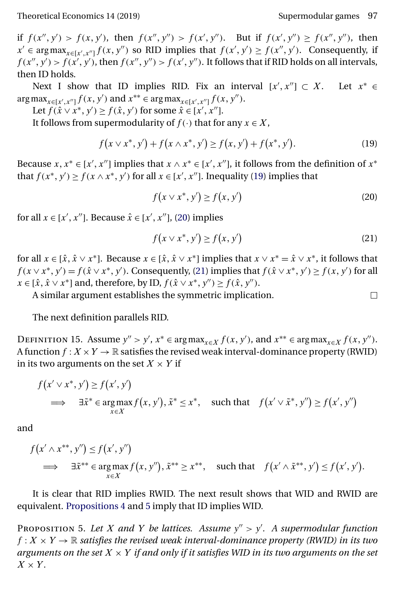$\Box$ 

<span id="page-26-0"></span>if  $f(x'', y') > f(x, y')$ , then  $f(x'', y'') > f(x', y'')$ . But if  $f(x', y'') \ge f(x'', y'')$ , then  $x' \in \arg \max_{x \in [x', x'']} f(x, y'')$  so RID implies that  $f(x', y') \ge f(x'', y')$ . Consequently, if  $f(x'', y') > f(x', y')$ , then  $f(x'', y'') > f(x', y'')$ . It follows that if RID holds on all intervals, then ID holds.

Next I show that ID implies RID. Fix an interval  $[x', x''] \subset X$ . Let  $x^* \in$  $\arg \max_{x \in [x', x'']} f(x, y') \text{ and } x^{**} \in \arg \max_{x \in [x', x'']} f(x, y'').$ 

Let  $f(\hat{x} \vee x^*, y') \ge f(\hat{x}, y')$  for some  $\hat{x} \in [x', x'']$ .

It follows from supermodularity of  $f(\cdot)$  that for any  $x \in X$ .

$$
f(x \vee x^*, y') + f(x \wedge x^*, y') \ge f(x, y') + f(x^*, y'). \tag{19}
$$

Because  $x, x^* \in [x', x'']$  implies that  $x \wedge x^* \in [x', x'']$ , it follows from the definition of  $x^*$ that  $f(x^*, y') \ge f(x \wedge x^*, y')$  for all  $x \in [x', x'']$ . Inequality (19) implies that

$$
f(x \vee x^*, y') \ge f(x, y')
$$
 (20)

for all  $x \in [x', x'']$ . Because  $\hat{x} \in [x', x'']$ , (20) implies

$$
f(x \vee x^*, y') \ge f(x, y')
$$
\n(21)

for all  $x \in [\hat{x}, \hat{x} \vee x^*]$ . Because  $x \in [\hat{x}, \hat{x} \vee x^*]$  implies that  $x \vee x^* = \hat{x} \vee x^*$ , it follows that  $f(x \vee x^*, y') = f(\hat{x} \vee x^*, y')$ . Consequently, (21) implies that  $f(\hat{x} \vee x^*, y') \ge f(x, y')$  for all  $x \in [\hat{x}, \hat{x} \vee x^*]$  and, therefore, by ID,  $f(\hat{x} \vee x^*, y'') \ge f(\hat{x}, y'')$ .

A similar argument establishes the symmetric implication.

The next definition parallels RID.

DEFINITION 15. Assume  $y'' > y'$ ,  $x^* \in \arg \max_{x \in X} f(x, y')$ , and  $x^{**} \in \arg \max_{x \in X} f(x, y'')$ . A function  $f: X \times Y \to \mathbb{R}$  satisfies the revised weak interval-dominance property (RWID) in its two arguments on the set  $X \times Y$  if

$$
f(x' \vee x^*, y') \ge f(x', y')
$$
  
\n
$$
\implies \exists \tilde{x}^* \in \operatorname*{arg\,max}_{x \in X} f(x, y'), \tilde{x}^* \le x^*, \quad \text{such that} \quad f(x' \vee \tilde{x}^*, y'') \ge f(x', y'')
$$

and

$$
f(x' \wedge x^{**}, y'') \le f(x', y'')
$$
  
\n
$$
\implies \exists \tilde{x}^{**} \in \operatorname{arg\,max}_{x \in X} f(x, y''), \tilde{x}^{**} \ge x^{**}, \quad \text{such that} \quad f(x' \wedge \tilde{x}^{**}, y') \le f(x', y').
$$

It is clear that RID implies RWID. The next result shows that WID and RWID are equivalent. [Propositions 4](#page-25-0) and 5 imply that ID implies WID.

PROPOSITION 5. Let X and Y be lattices. Assume  $y'' > y'$ . A supermodular function  $f: X \times Y \to \mathbb{R}$  *satisfies the revised weak interval-dominance property (RWID) in its two arguments on the set*  $X \times Y$  *if and only if it satisfies WID in its two arguments on the set*  $X \times Y$ .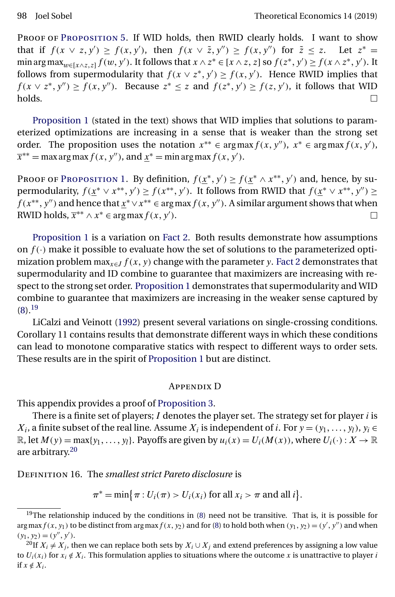<span id="page-27-0"></span>Proof of P[roposition](#page-26-0) 5. If WID holds, then RWID clearly holds. I want to show that if  $f(x \vee z, y') \ge f(x, y')$ , then  $f(x \vee \tilde{z}, y'') \ge f(x, y'')$  for  $\tilde{z} \le z$ . Let  $z^* =$ min arg max $_{w\in[x\wedge z,z]}$   $f(w, y')$ . It follows that  $x \wedge z^* \in [x \wedge z, z]$  so  $f(z^*, y') \ge f(x \wedge z^*, y')$ . It follows from supermodularity that  $f(x \vee z^*, y') \ge f(x, y')$ . Hence RWID implies that  $f(x \vee z^*, y'') \ge f(x, y'')$ . Because  $z^* \le z$  and  $f(z^*, y') \ge f(z, y')$ , it follows that WID holds.  $\Box$ 

[Proposition 1](#page-16-0) (stated in the text) shows that WID implies that solutions to parameterized optimizations are increasing in a sense that is weaker than the strong set order. The proposition uses the notation  $x^{**} \in \arg \max f(x, y'')$ ,  $x^* \in \arg \max f(x, y')$ ,  $\overline{x}^{**} = \max \arg \max f(x, y'')$ , and  $\underline{x}^{*} = \min \arg \max f(x, y')$ .

Proof of P[roposition](#page-16-0) 1. By definition,  $f(\underline{x}^*, y') \ge f(\underline{x}^* \wedge x^{**}, y')$  and, hence, by supermodularity,  $f(\underline{x}^* \vee x^{**}, y') \ge f(x^{**}, y')$ . It follows from RWID that  $f(\underline{x}^* \vee x^{**}, y'') \ge$  $f(x^{**}, y'')$  and hence that  $\underline{x}^* \vee x^{**} \in \arg\max f(x, y'')$ . A similar argument shows that when RWID holds,  $\overline{x}^{**} \wedge x^* \in \arg \max f(x, y')$ .

[Proposition 1](#page-16-0) is a variation on [Fact 2.](#page-4-0) Both results demonstrate how assumptions on  $f(\cdot)$  make it possible to evaluate how the set of solutions to the parameterized optimization problem  $\max_{x \in J} f(x, y)$  change with the parameter y. [Fact 2](#page-4-0) demonstrates that supermodularity and ID combine to guarantee that maximizers are increasing with respect to the strong set order. [Proposition 1](#page-16-0) demonstrates that supermodularity and WID combine to guarantee that maximizers are increasing in the weaker sense captured by [\(8\)](#page-16-0).19

LiCalzi and Veinott [\(1992\)](#page-31-0) present several variations on single-crossing conditions. Corollary 11 contains results that demonstrate different ways in which these conditions can lead to monotone comparative statics with respect to different ways to order sets. These results are in the spirit of [Proposition 1](#page-16-0) but are distinct.

#### Appendix D

This appendix provides a proof of [Proposition 3.](#page-20-0)

There is a finite set of players;  $I$  denotes the player set. The strategy set for player  $i$  is  $X_i$ , a finite subset of the real line. Assume  $X_i$  is independent of i. For  $y = (y_1, \ldots, y_l)$ ,  $y_i \in$  $\mathbb{R}$ , let  $M(y) = \max\{y_1, \ldots, y_l\}$ . Payoffs are given by  $u_i(x) = U_i(M(x))$ , where  $U_i(\cdot) : X \to \mathbb{R}$ are arbitrary.<sup>20</sup>

Definition 16. The *smallest strict Pareto disclosure* is

 $\pi^* = \min\{\pi : U_i(\pi) > U_i(x_i) \text{ for all } x_i > \pi \text{ and all } i\}.$ 

 $19$ The relationship induced by the conditions in [\(8\)](#page-16-0) need not be transitive. That is, it is possible for arg max  $f(x, y_1)$  to be distinct from arg max  $f(x, y_2)$  and for [\(8\)](#page-16-0) to hold both when  $(y_1, y_2) = (y', y'')$  and when  $(y_1, y_2) = (y'', y').$ 

<sup>&</sup>lt;sup>20</sup>If  $X_i \neq X_j$ , then we can replace both sets by  $X_i \cup X_j$  and extend preferences by assigning a low value to  $U_i(x_i)$  for  $x_i \notin X_i$ . This formulation applies to situations where the outcome x is unattractive to player i if  $x \notin X_i$ .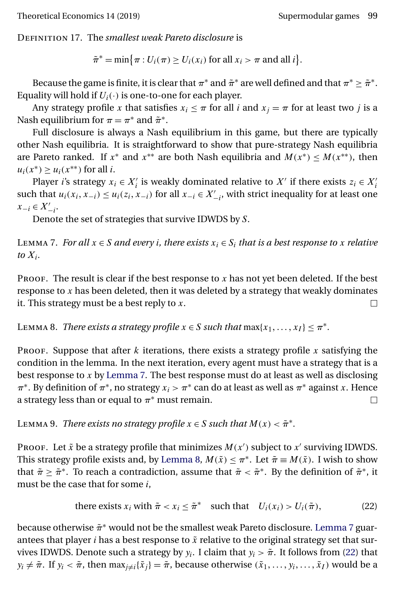<span id="page-28-0"></span>Definition 17. The *smallest weak Pareto disclosure* is

 $\tilde{\pi}^* = \min\{\pi : U_i(\pi) \ge U_i(x_i) \text{ for all } x_i > \pi \text{ and all } i\}.$ 

Because the game is finite, it is clear that  $\pi^*$  and  $\tilde{\pi}^*$  are well defined and that  $\pi^* \geq \tilde{\pi}^*$ . Equality will hold if  $U_i(\cdot)$  is one-to-one for each player.

Any strategy profile x that satisfies  $x_i \leq \pi$  for all i and  $x_i = \pi$  for at least two j is a Nash equilibrium for  $\pi = \pi^*$  and  $\tilde{\pi}^*$ .

Full disclosure is always a Nash equilibrium in this game, but there are typically other Nash equilibria. It is straightforward to show that pure-strategy Nash equilibria are Pareto ranked. If  $x^*$  and  $x^{**}$  are both Nash equilibria and  $M(x^*) \leq M(x^{**})$ , then  $u_i(x^*) \geq u_i(x^{**})$  for all *i*.

Player *i*'s strategy  $x_i \in X'_i$  is weakly dominated relative to  $X'$  if there exists  $z_i \in X'_i$ such that  $u_i(x_i, x_{-i}) \le u_i(z_i, x_{-i})$  for all  $x_{-i} \in X'_{-i}$ , with strict inequality for at least one  $x_{-i} \in X'_{-i}$ .

Denote the set of strategies that survive IDWDS by S.

LEMMA 7. *For all*  $x \in S$  *and every i*, there exists  $x_i \in S_i$  *that is a best response to* x *relative*  $to X_i$ .

PROOF. The result is clear if the best response to  $x$  has not yet been deleted. If the best response to  $x$  has been deleted, then it was deleted by a strategy that weakly dominates it. This strategy must be a best reply to  $x$ .  $\Box$ 

LEMMA 8. *There exists a strategy profile*  $x \in S$  *such that*  $\max\{x_1, \ldots, x_I\} \leq \pi^*$ .

Proof. Suppose that after  $k$  iterations, there exists a strategy profile  $x$  satisfying the condition in the lemma. In the next iteration, every agent must have a strategy that is a best response to x by Lemma 7. The best response must do at least as well as disclosing  $\pi^*$ . By definition of  $\pi^*$ , no strategy  $x_i > \pi^*$  can do at least as well as  $\pi^*$  against x. Hence a strategy less than or equal to  $\pi^*$  must remain.  $\Box$ 

LEMMA 9. *There exists no strategy profile*  $x \in S$  *such that*  $M(x) < \tilde{\pi}^*$ *.* 

Proof. Let  $\tilde{x}$  be a strategy profile that minimizes  $M(x')$  subject to  $x'$  surviving IDWDS. This strategy profile exists and, by Lemma 8,  $M(\tilde{x}) \leq \pi^*$ . Let  $\tilde{\pi} \equiv M(\tilde{x})$ . I wish to show that  $\tilde{\pi} \geq \tilde{\pi}^*$ . To reach a contradiction, assume that  $\tilde{\pi} < \tilde{\pi}^*$ . By the definition of  $\tilde{\pi}^*$ , it must be the case that for some  $i$ ,

there exists 
$$
x_i
$$
 with  $\tilde{\pi} < x_i \leq \tilde{\pi}^*$  such that  $U_i(x_i) > U_i(\tilde{\pi}),$  (22)

because otherwise  $\tilde{\pi}^*$  would not be the smallest weak Pareto disclosure. Lemma 7 guarantees that player *i* has a best response to  $\tilde{x}$  relative to the original strategy set that survives IDWDS. Denote such a strategy by  $y_i$ . I claim that  $y_i > \tilde{\pi}$ . It follows from (22) that  $y_i \neq \tilde{\pi}$ . If  $y_i < \tilde{\pi}$ , then  $\max_{j \neq i} {\{\tilde{x}_j\}} = \tilde{\pi}$ , because otherwise  $(\tilde{x}_1, \ldots, y_i, \ldots, \tilde{x}_I)$  would be a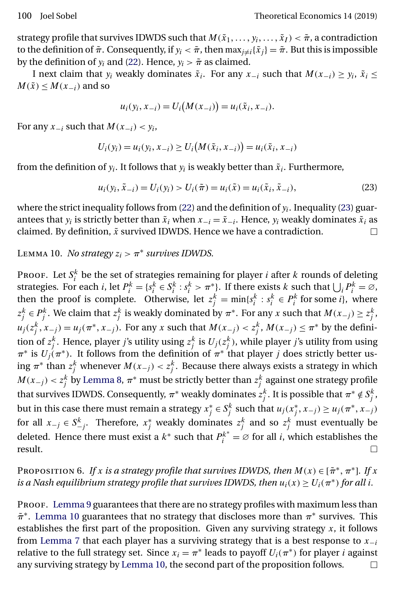<span id="page-29-0"></span>strategy profile that survives IDWDS such that  $M(\tilde{x}_1,\ldots,y_i,\ldots,\tilde{x}_I)<\tilde{\pi}$ , a contradiction to the definition of  $\tilde{\pi}$ . Consequently, if  $y_i < \tilde{\pi}$ , then  $\max_{i \neq i} {\tilde{x}}_i = \tilde{\pi}$ . But this is impossible by the definition of  $y_i$  and [\(22\)](#page-28-0). Hence,  $y_i > \tilde{\pi}$  as claimed.

I next claim that  $y_i$  weakly dominates  $\tilde{x}_i$ . For any  $x_{-i}$  such that  $M(x_{-i}) \ge y_i$ ,  $\tilde{x}_i \le$  $M(\tilde{x}) \leq M(x_{-i})$  and so

$$
u_i(y_i, x_{-i}) = U_i(M(x_{-i})) = u_i(\tilde{x}_i, x_{-i}).
$$

For any  $x_{-i}$  such that  $M(x_{-i}) < y_i$ ,

$$
U_i(y_i) = u_i(y_i, x_{-i}) \ge U_i(M(\tilde{x}_i, x_{-i})) = u_i(\tilde{x}_i, x_{-i})
$$

from the definition of  $y_i$ . It follows that  $y_i$  is weakly better than  $\tilde{x}_i$ . Furthermore,

$$
u_i(y_i, \tilde{x}_{-i}) = U_i(y_i) > U_i(\tilde{\pi}) = u_i(\tilde{x}) = u_i(\tilde{x}_i, \tilde{x}_{-i}),
$$
\n(23)

where the strict inequality follows from [\(22\)](#page-28-0) and the definition of  $y_i$ . Inequality (23) guarantees that  $y_i$  is strictly better than  $\tilde{x}_i$  when  $x_{-i} = \tilde{x}_{-i}$ . Hence,  $y_i$  weakly dominates  $\tilde{x}_i$  as claimed. By definition,  $\tilde{x}$  survived IDWDS. Hence we have a contradiction. П

## LEMMA 10. *No strategy*  $z_i > \pi^*$  *survives IDWDS.*

PROOF. Let  $S_i^k$  be the set of strategies remaining for player *i* after *k* rounds of deleting strategies. For each *i*, let  $P_i^k = \{s_i^k \in S_i^k : s_i^k > \pi^*\}$ . If there exists *k* such that  $\bigcup_i P_i^k = \emptyset$ , then the proof is complete. Otherwise, let  $z_j^k = \min\{s_i^k : s_i^k \in P_i^k \text{ for some } i\}$ , where  $z_j^k \in P_j^k$ . We claim that  $z_j^k$  is weakly dominated by  $\pi^*$ . For any x such that  $M(x_{-j}) \ge z_j^k$ ,  $u_j(z_j^k, x_{-j}) = u_j(\pi^*, x_{-j})$ . For any x such that  $M(x_{-j}) < z_j^k$ ,  $M(x_{-j}) \leq \pi^*$  by the definition of  $z_j^k$ . Hence, player *j'*s utility using  $z_j^k$  is  $U_j(z_j^k)$ , while player *j'*s utility from using  $\pi^*$  is  $U_j(\pi^*)$ . It follows from the definition of  $\pi^*$  that player j does strictly better using  $\pi^*$  than  $z_j^k$  whenever  $M(x_{-j}) < z_j^k$ . Because there always exists a strategy in which  $M(x_{-j}) < z_j^k$  by [Lemma 8,](#page-28-0)  $\pi^*$  must be strictly better than  $z_j^k$  against one strategy profile that survives IDWDS. Consequently,  $\pi^*$  weakly dominates  $z_j^k$ . It is possible that  $\pi^* \notin S_j^k$ , but in this case there must remain a strategy  $x_j^* \in S_j^k$  such that  $u_j(x_j^*, x_{-j}) \ge u_j(\pi^*, x_{-j})$ for all  $x_{-j} \in S_{-j}^k$ . Therefore,  $x_j^*$  weakly dominates  $z_j^k$  and so  $z_j^k$  must eventually be deleted. Hence there must exist a  $k^*$  such that  $P_i^{k^*} = \emptyset$  for all *i*, which establishes the result.

Proposition 6. *If* x *is a strategy profile that survives IDWDS, then*  $M(x) \in [\tilde{\pi}^*, \pi^*]$ . *If* x *is a Nash equilibrium strategy profile that survives IDWDS, then*  $u_i(x) \ge U_i(\pi^*)$  *for all i.* 

Proof. [Lemma 9](#page-28-0) guarantees that there are no strategy profiles with maximum less than  $\tilde{\pi}^*$ . Lemma 10 guarantees that no strategy that discloses more than  $\pi^*$  survives. This establishes the first part of the proposition. Given any surviving strategy  $x$ , it follows from [Lemma 7](#page-28-0) that each player has a surviving strategy that is a best response to  $x_{-i}$ relative to the full strategy set. Since  $x_i = \pi^*$  leads to payoff  $U_i(\pi^*)$  for player *i* against any surviving strategy by Lemma 10, the second part of the proposition follows. $\Box$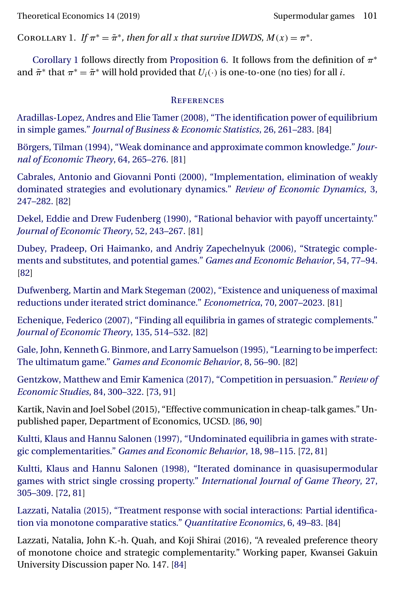<span id="page-30-0"></span>COROLLARY 1. *If*  $\pi^* = \tilde{\pi}^*$ , *then for all x that survive IDWDS,*  $M(x) = \pi^*$ .

Corollary 1 follows directly from [Proposition 6.](#page-29-0) It follows from the definition of  $\pi^*$ and  $\tilde{\pi}^*$  that  $\pi^* = \tilde{\pi}^*$  will hold provided that  $U_i(\cdot)$  is one-to-one (no ties) for all *i*.

#### **REFERENCES**

[Aradillas-Lopez, Andres and Elie Tamer \(2008\), "The identification power of equilibrium](http://www.e-publications.org/srv/te/linkserver/openurl?rft_dat=bib:1/AraTam08&rfe_id=urn:sici%2F1933-6837%28201901%2914%3A1%3C71%3AIWDAID%3E2.0.CO%3B2-B) in simple games." *[Journal of Business & Economic Statistics](http://www.e-publications.org/srv/te/linkserver/openurl?rft_dat=bib:1/AraTam08&rfe_id=urn:sici%2F1933-6837%28201901%2914%3A1%3C71%3AIWDAID%3E2.0.CO%3B2-B)*, 26, 261–283. [\[84\]](#page-13-0)

[Börgers, Tilman \(1994\), "Weak dominance and approximate common knowledge."](http://www.e-publications.org/srv/te/linkserver/openurl?rft_dat=bib:2/Bor94&rfe_id=urn:sici%2F1933-6837%28201901%2914%3A1%3C71%3AIWDAID%3E2.0.CO%3B2-B) *Jour[nal of Economic Theory](http://www.e-publications.org/srv/te/linkserver/openurl?rft_dat=bib:2/Bor94&rfe_id=urn:sici%2F1933-6837%28201901%2914%3A1%3C71%3AIWDAID%3E2.0.CO%3B2-B)*, 64, 265–276. [\[81\]](#page-10-0)

[Cabrales, Antonio and Giovanni Ponti \(2000\), "Implementation, elimination of weakly](http://www.e-publications.org/srv/te/linkserver/openurl?rft_dat=bib:3/CabPon00&rfe_id=urn:sici%2F1933-6837%28201901%2914%3A1%3C71%3AIWDAID%3E2.0.CO%3B2-B) [dominated strategies and evolutionary dynamics."](http://www.e-publications.org/srv/te/linkserver/openurl?rft_dat=bib:3/CabPon00&rfe_id=urn:sici%2F1933-6837%28201901%2914%3A1%3C71%3AIWDAID%3E2.0.CO%3B2-B) *Review of Economic Dynamics*, 3, [247–282.](http://www.e-publications.org/srv/te/linkserver/openurl?rft_dat=bib:3/CabPon00&rfe_id=urn:sici%2F1933-6837%28201901%2914%3A1%3C71%3AIWDAID%3E2.0.CO%3B2-B) [\[82\]](#page-11-0)

[Dekel, Eddie and Drew Fudenberg \(1990\), "Rational behavior with payoff uncertainty."](http://www.e-publications.org/srv/te/linkserver/openurl?rft_dat=bib:4/DekFud90&rfe_id=urn:sici%2F1933-6837%28201901%2914%3A1%3C71%3AIWDAID%3E2.0.CO%3B2-B) *[Journal of Economic Theory](http://www.e-publications.org/srv/te/linkserver/openurl?rft_dat=bib:4/DekFud90&rfe_id=urn:sici%2F1933-6837%28201901%2914%3A1%3C71%3AIWDAID%3E2.0.CO%3B2-B)*, 52, 243–267. [\[81\]](#page-10-0)

[Dubey, Pradeep, Ori Haimanko, and Andriy Zapechelnyuk \(2006\), "Strategic comple](http://www.e-publications.org/srv/te/linkserver/openurl?rft_dat=bib:5/DubHaiZap06&rfe_id=urn:sici%2F1933-6837%28201901%2914%3A1%3C71%3AIWDAID%3E2.0.CO%3B2-B)[ments and substitutes, and potential games."](http://www.e-publications.org/srv/te/linkserver/openurl?rft_dat=bib:5/DubHaiZap06&rfe_id=urn:sici%2F1933-6837%28201901%2914%3A1%3C71%3AIWDAID%3E2.0.CO%3B2-B) *Games and Economic Behavior*, 54, 77–94. [\[82\]](#page-11-0)

[Dufwenberg, Martin and Mark Stegeman \(2002\), "Existence and uniqueness of maximal](http://www.e-publications.org/srv/te/linkserver/openurl?rft_dat=bib:6/DufSte02&rfe_id=urn:sici%2F1933-6837%28201901%2914%3A1%3C71%3AIWDAID%3E2.0.CO%3B2-B) [reductions under iterated strict dominance."](http://www.e-publications.org/srv/te/linkserver/openurl?rft_dat=bib:6/DufSte02&rfe_id=urn:sici%2F1933-6837%28201901%2914%3A1%3C71%3AIWDAID%3E2.0.CO%3B2-B) *Econometrica*, 70, 2007–2023. [\[81\]](#page-10-0)

[Echenique, Federico \(2007\), "Finding all equilibria in games of strategic complements."](http://www.e-publications.org/srv/te/linkserver/openurl?rft_dat=bib:7/Ech07&rfe_id=urn:sici%2F1933-6837%28201901%2914%3A1%3C71%3AIWDAID%3E2.0.CO%3B2-B) *[Journal of Economic Theory](http://www.e-publications.org/srv/te/linkserver/openurl?rft_dat=bib:7/Ech07&rfe_id=urn:sici%2F1933-6837%28201901%2914%3A1%3C71%3AIWDAID%3E2.0.CO%3B2-B)*, 135, 514–532. [\[82\]](#page-11-0)

[Gale, John, Kenneth G. Binmore, and Larry Samuelson \(1995\), "Learning to be imperfect:](http://www.e-publications.org/srv/te/linkserver/openurl?rft_dat=bib:8/GalBinSam95&rfe_id=urn:sici%2F1933-6837%28201901%2914%3A1%3C71%3AIWDAID%3E2.0.CO%3B2-B) The ultimatum game." *[Games and Economic Behavior](http://www.e-publications.org/srv/te/linkserver/openurl?rft_dat=bib:8/GalBinSam95&rfe_id=urn:sici%2F1933-6837%28201901%2914%3A1%3C71%3AIWDAID%3E2.0.CO%3B2-B)*, 8, 56–90. [\[82\]](#page-11-0)

[Gentzkow, Matthew and Emir Kamenica \(2017\), "Competition in persuasion."](http://www.e-publications.org/srv/te/linkserver/openurl?rft_dat=bib:9/GenKam17&rfe_id=urn:sici%2F1933-6837%28201901%2914%3A1%3C71%3AIWDAID%3E2.0.CO%3B2-B) *Review of [Economic Studies](http://www.e-publications.org/srv/te/linkserver/openurl?rft_dat=bib:9/GenKam17&rfe_id=urn:sici%2F1933-6837%28201901%2914%3A1%3C71%3AIWDAID%3E2.0.CO%3B2-B)*, 84, 300–322. [\[73,](#page-2-0) [91\]](#page-20-0)

Kartik, Navin and Joel Sobel (2015), "Effective communication in cheap-talk games." Unpublished paper, Department of Economics, UCSD. [\[86,](#page-15-0) [90\]](#page-19-0)

[Kultti, Klaus and Hannu Salonen \(1997\), "Undominated equilibria in games with strate](http://www.e-publications.org/srv/te/linkserver/openurl?rft_dat=bib:11/KulSal97&rfe_id=urn:sici%2F1933-6837%28201901%2914%3A1%3C71%3AIWDAID%3E2.0.CO%3B2-B)gic complementarities." *[Games and Economic Behavior](http://www.e-publications.org/srv/te/linkserver/openurl?rft_dat=bib:11/KulSal97&rfe_id=urn:sici%2F1933-6837%28201901%2914%3A1%3C71%3AIWDAID%3E2.0.CO%3B2-B)*, 18, 98–115. [\[72,](#page-1-0) [81\]](#page-10-0)

[Kultti, Klaus and Hannu Salonen \(1998\), "Iterated dominance in quasisupermodular](http://www.e-publications.org/srv/te/linkserver/openurl?rft_dat=bib:12/KulSal98&rfe_id=urn:sici%2F1933-6837%28201901%2914%3A1%3C71%3AIWDAID%3E2.0.CO%3B2-B) [games with strict single crossing property."](http://www.e-publications.org/srv/te/linkserver/openurl?rft_dat=bib:12/KulSal98&rfe_id=urn:sici%2F1933-6837%28201901%2914%3A1%3C71%3AIWDAID%3E2.0.CO%3B2-B) *International Journal of Game Theory*, 27, [305–309.](http://www.e-publications.org/srv/te/linkserver/openurl?rft_dat=bib:12/KulSal98&rfe_id=urn:sici%2F1933-6837%28201901%2914%3A1%3C71%3AIWDAID%3E2.0.CO%3B2-B) [\[72,](#page-1-0) [81\]](#page-10-0)

[Lazzati, Natalia \(2015\), "Treatment response with social interactions: Partial identifica](http://www.e-publications.org/srv/te/linkserver/openurl?rft_dat=bib:13/Laz15&rfe_id=urn:sici%2F1933-6837%28201901%2914%3A1%3C71%3AIWDAID%3E2.0.CO%3B2-B)[tion via monotone comparative statics."](http://www.e-publications.org/srv/te/linkserver/openurl?rft_dat=bib:13/Laz15&rfe_id=urn:sici%2F1933-6837%28201901%2914%3A1%3C71%3AIWDAID%3E2.0.CO%3B2-B) *Quantitative Economics*, 6, 49–83. [\[84\]](#page-13-0)

Lazzati, Natalia, John K.-h. Quah, and Koji Shirai (2016), "A revealed preference theory of monotone choice and strategic complementarity." Working paper, Kwansei Gakuin University Discussion paper No. 147. [\[84\]](#page-13-0)